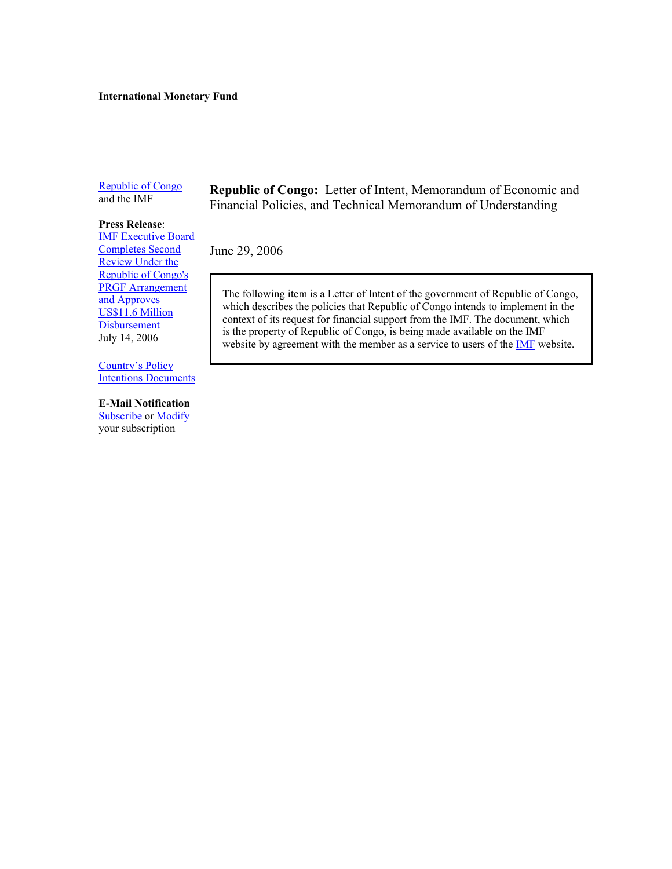#### **International Monetary Fund**

[Republic of Congo](http://www.imf.org/external/country/COG/index.htm) and the IMF

# **Press Release**[: IMF Executive Board](http://www.imf.org/external/np/sec/pr/2006/pr06155.htm)

Completes Second Review Under the Republic of Congo's PRGF Arrangement and Approves US\$11.6 Million **Disbursement** July 14, 2006

Country's Policy [Intentions Documents](http://www.imf.org/external/np/loi/mempub.asp) 

#### **E-Mail Notification**

[Subscribe o](https://www.imf.org/external/cntpst/(50l20rrayiccrgffw4bddr55)/index.aspx)[r Modify](https://www.imf.org/external/cntpst/(wh5tsf55mpoeja45motwqmyq)/signinmodify.aspx) your subscription

**Republic of Congo:** Letter of Intent, Memorandum of Economic and Financial Policies, and Technical Memorandum of Understanding

June 29, 2006

The following item is a Letter of Intent of the government of Republic of Congo, which describes the policies that Republic of Congo intends to implement in the context of its request for financial support from the IMF. The document, which is the property of Republic of Congo, is being made available on the IMF website by agreement with the member as a service to users of the **IMF** website.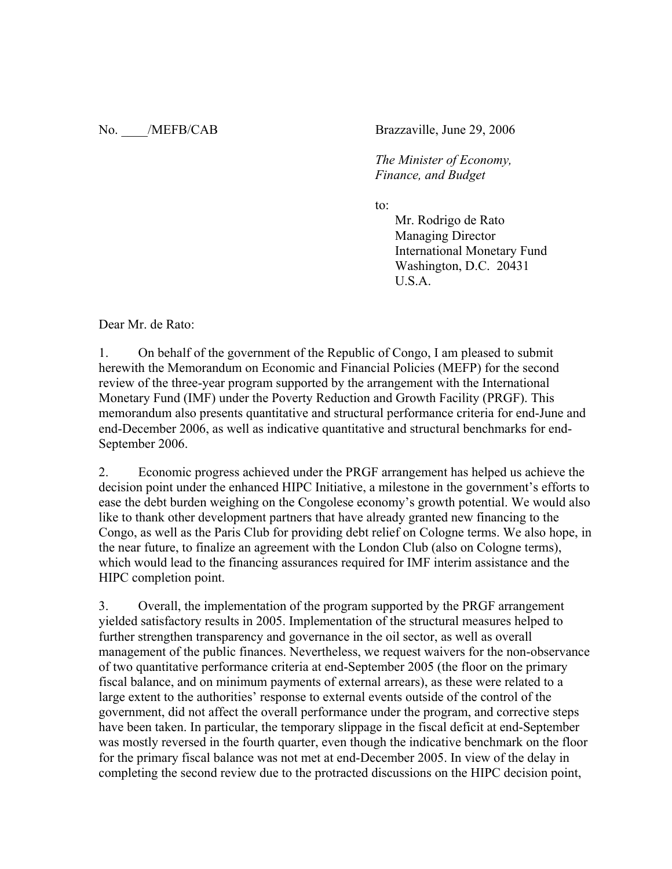No. /MEFB/CAB Brazzaville, June 29, 2006

 *The Minister of Economy, Finance, and Budget* 

to:

Mr. Rodrigo de Rato Managing Director International Monetary Fund Washington, D.C. 20431 U.S.A.

Dear Mr. de Rato:

1. On behalf of the government of the Republic of Congo, I am pleased to submit herewith the Memorandum on Economic and Financial Policies (MEFP) for the second review of the three-year program supported by the arrangement with the International Monetary Fund (IMF) under the Poverty Reduction and Growth Facility (PRGF). This memorandum also presents quantitative and structural performance criteria for end-June and end-December 2006, as well as indicative quantitative and structural benchmarks for end-September 2006.

2. Economic progress achieved under the PRGF arrangement has helped us achieve the decision point under the enhanced HIPC Initiative, a milestone in the government's efforts to ease the debt burden weighing on the Congolese economy's growth potential. We would also like to thank other development partners that have already granted new financing to the Congo, as well as the Paris Club for providing debt relief on Cologne terms. We also hope, in the near future, to finalize an agreement with the London Club (also on Cologne terms), which would lead to the financing assurances required for IMF interim assistance and the HIPC completion point.

3. Overall, the implementation of the program supported by the PRGF arrangement yielded satisfactory results in 2005. Implementation of the structural measures helped to further strengthen transparency and governance in the oil sector, as well as overall management of the public finances. Nevertheless, we request waivers for the non-observance of two quantitative performance criteria at end-September 2005 (the floor on the primary fiscal balance, and on minimum payments of external arrears), as these were related to a large extent to the authorities' response to external events outside of the control of the government, did not affect the overall performance under the program, and corrective steps have been taken. In particular, the temporary slippage in the fiscal deficit at end-September was mostly reversed in the fourth quarter, even though the indicative benchmark on the floor for the primary fiscal balance was not met at end-December 2005. In view of the delay in completing the second review due to the protracted discussions on the HIPC decision point,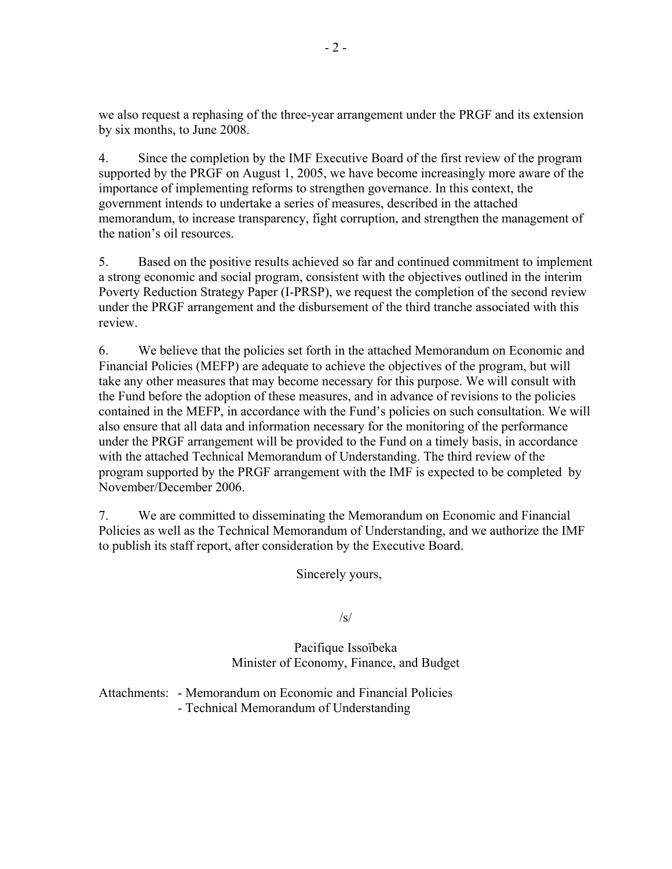we also request a rephasing of the three-year arrangement under the PRGF and its extension by six months, to June 2008.

4. Since the completion by the IMF Executive Board of the first review of the program supported by the PRGF on August 1, 2005, we have become increasingly more aware of the importance of implementing reforms to strengthen governance. In this context, the government intends to undertake a series of measures, described in the attached memorandum, to increase transparency, fight corruption, and strengthen the management of the nation's oil resources.

5. Based on the positive results achieved so far and continued commitment to implement a strong economic and social program, consistent with the objectives outlined in the interim Poverty Reduction Strategy Paper (I-PRSP), we request the completion of the second review under the PRGF arrangement and the disbursement of the third tranche associated with this review.

6. We believe that the policies set forth in the attached Memorandum on Economic and Financial Policies (MEFP) are adequate to achieve the objectives of the program, but will take any other measures that may become necessary for this purpose. We will consult with the Fund before the adoption of these measures, and in advance of revisions to the policies contained in the MEFP, in accordance with the Fund's policies on such consultation. We will also ensure that all data and information necessary for the monitoring of the performance under the PRGF arrangement will be provided to the Fund on a timely basis, in accordance with the attached Technical Memorandum of Understanding. The third review of the program supported by the PRGF arrangement with the IMF is expected to be completed by November/December 2006.

7. We are committed to disseminating the Memorandum on Economic and Financial Policies as well as the Technical Memorandum of Understanding, and we authorize the IMF to publish its staff report, after consideration by the Executive Board.

Sincerely yours,

/s/

Pacifique Issoïbeka Minister of Economy, Finance, and Budget

Attachments: - Memorandum on Economic and Financial Policies - Technical Memorandum of Understanding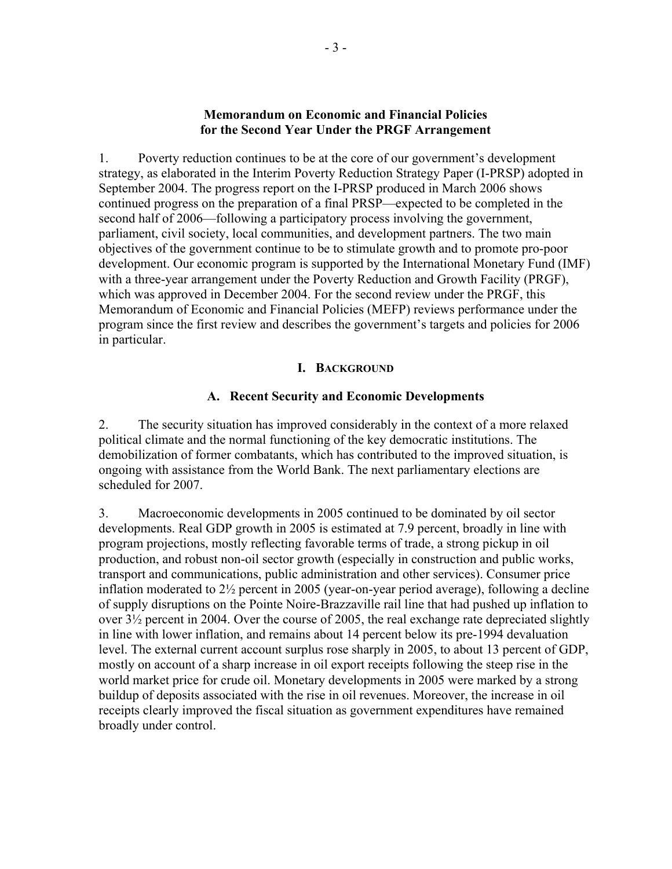## **Memorandum on Economic and Financial Policies for the Second Year Under the PRGF Arrangement**

1. Poverty reduction continues to be at the core of our government's development strategy, as elaborated in the Interim Poverty Reduction Strategy Paper (I-PRSP) adopted in September 2004. The progress report on the I-PRSP produced in March 2006 shows continued progress on the preparation of a final PRSP—expected to be completed in the second half of 2006—following a participatory process involving the government, parliament, civil society, local communities, and development partners. The two main objectives of the government continue to be to stimulate growth and to promote pro-poor development. Our economic program is supported by the International Monetary Fund (IMF) with a three-year arrangement under the Poverty Reduction and Growth Facility (PRGF), which was approved in December 2004. For the second review under the PRGF, this Memorandum of Economic and Financial Policies (MEFP) reviews performance under the program since the first review and describes the government's targets and policies for 2006 in particular.

## **I. BACKGROUND**

## **A. Recent Security and Economic Developments**

2. The security situation has improved considerably in the context of a more relaxed political climate and the normal functioning of the key democratic institutions. The demobilization of former combatants, which has contributed to the improved situation, is ongoing with assistance from the World Bank. The next parliamentary elections are scheduled for 2007.

3. Macroeconomic developments in 2005 continued to be dominated by oil sector developments. Real GDP growth in 2005 is estimated at 7.9 percent, broadly in line with program projections, mostly reflecting favorable terms of trade, a strong pickup in oil production, and robust non-oil sector growth (especially in construction and public works, transport and communications, public administration and other services). Consumer price inflation moderated to 2½ percent in 2005 (year-on-year period average), following a decline of supply disruptions on the Pointe Noire-Brazzaville rail line that had pushed up inflation to over 3½ percent in 2004. Over the course of 2005, the real exchange rate depreciated slightly in line with lower inflation, and remains about 14 percent below its pre-1994 devaluation level. The external current account surplus rose sharply in 2005, to about 13 percent of GDP, mostly on account of a sharp increase in oil export receipts following the steep rise in the world market price for crude oil. Monetary developments in 2005 were marked by a strong buildup of deposits associated with the rise in oil revenues. Moreover, the increase in oil receipts clearly improved the fiscal situation as government expenditures have remained broadly under control.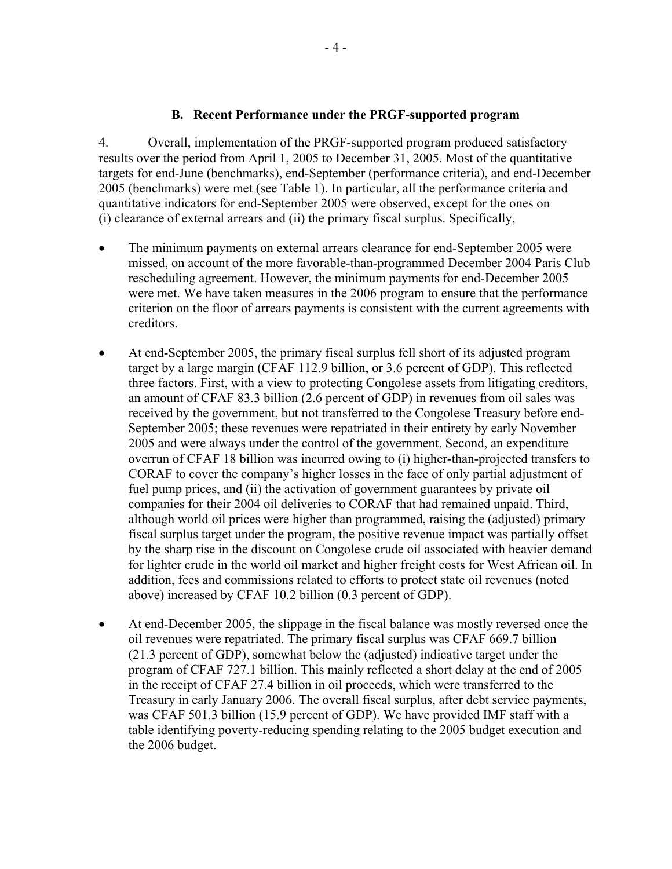## **B. Recent Performance under the PRGF-supported program**

4. Overall, implementation of the PRGF-supported program produced satisfactory results over the period from April 1, 2005 to December 31, 2005. Most of the quantitative targets for end-June (benchmarks), end-September (performance criteria), and end-December 2005 (benchmarks) were met (see Table 1). In particular, all the performance criteria and quantitative indicators for end-September 2005 were observed, except for the ones on (i) clearance of external arrears and (ii) the primary fiscal surplus. Specifically,

- The minimum payments on external arrears clearance for end-September 2005 were missed, on account of the more favorable-than-programmed December 2004 Paris Club rescheduling agreement. However, the minimum payments for end-December 2005 were met. We have taken measures in the 2006 program to ensure that the performance criterion on the floor of arrears payments is consistent with the current agreements with creditors.
- At end-September 2005, the primary fiscal surplus fell short of its adjusted program target by a large margin (CFAF 112.9 billion, or 3.6 percent of GDP). This reflected three factors. First, with a view to protecting Congolese assets from litigating creditors, an amount of CFAF 83.3 billion (2.6 percent of GDP) in revenues from oil sales was received by the government, but not transferred to the Congolese Treasury before end-September 2005; these revenues were repatriated in their entirety by early November 2005 and were always under the control of the government. Second, an expenditure overrun of CFAF 18 billion was incurred owing to (i) higher-than-projected transfers to CORAF to cover the company's higher losses in the face of only partial adjustment of fuel pump prices, and (ii) the activation of government guarantees by private oil companies for their 2004 oil deliveries to CORAF that had remained unpaid. Third, although world oil prices were higher than programmed, raising the (adjusted) primary fiscal surplus target under the program, the positive revenue impact was partially offset by the sharp rise in the discount on Congolese crude oil associated with heavier demand for lighter crude in the world oil market and higher freight costs for West African oil. In addition, fees and commissions related to efforts to protect state oil revenues (noted above) increased by CFAF 10.2 billion (0.3 percent of GDP).
- At end-December 2005, the slippage in the fiscal balance was mostly reversed once the oil revenues were repatriated. The primary fiscal surplus was CFAF 669.7 billion (21.3 percent of GDP), somewhat below the (adjusted) indicative target under the program of CFAF 727.1 billion. This mainly reflected a short delay at the end of 2005 in the receipt of CFAF 27.4 billion in oil proceeds, which were transferred to the Treasury in early January 2006. The overall fiscal surplus, after debt service payments, was CFAF 501.3 billion (15.9 percent of GDP). We have provided IMF staff with a table identifying poverty-reducing spending relating to the 2005 budget execution and the 2006 budget.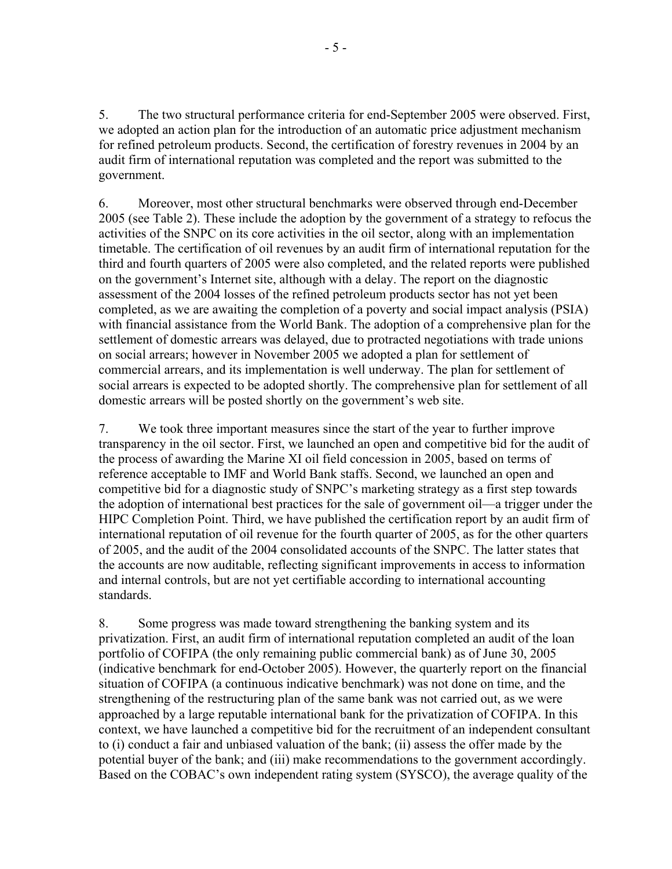5. The two structural performance criteria for end-September 2005 were observed. First, we adopted an action plan for the introduction of an automatic price adjustment mechanism for refined petroleum products. Second, the certification of forestry revenues in 2004 by an audit firm of international reputation was completed and the report was submitted to the government.

6. Moreover, most other structural benchmarks were observed through end-December 2005 (see Table 2). These include the adoption by the government of a strategy to refocus the activities of the SNPC on its core activities in the oil sector, along with an implementation timetable. The certification of oil revenues by an audit firm of international reputation for the third and fourth quarters of 2005 were also completed, and the related reports were published on the government's Internet site, although with a delay. The report on the diagnostic assessment of the 2004 losses of the refined petroleum products sector has not yet been completed, as we are awaiting the completion of a poverty and social impact analysis (PSIA) with financial assistance from the World Bank. The adoption of a comprehensive plan for the settlement of domestic arrears was delayed, due to protracted negotiations with trade unions on social arrears; however in November 2005 we adopted a plan for settlement of commercial arrears, and its implementation is well underway. The plan for settlement of social arrears is expected to be adopted shortly. The comprehensive plan for settlement of all domestic arrears will be posted shortly on the government's web site.

7. We took three important measures since the start of the year to further improve transparency in the oil sector. First, we launched an open and competitive bid for the audit of the process of awarding the Marine XI oil field concession in 2005, based on terms of reference acceptable to IMF and World Bank staffs. Second, we launched an open and competitive bid for a diagnostic study of SNPC's marketing strategy as a first step towards the adoption of international best practices for the sale of government oil—a trigger under the HIPC Completion Point. Third, we have published the certification report by an audit firm of international reputation of oil revenue for the fourth quarter of 2005, as for the other quarters of 2005, and the audit of the 2004 consolidated accounts of the SNPC. The latter states that the accounts are now auditable, reflecting significant improvements in access to information and internal controls, but are not yet certifiable according to international accounting standards.

8. Some progress was made toward strengthening the banking system and its privatization. First, an audit firm of international reputation completed an audit of the loan portfolio of COFIPA (the only remaining public commercial bank) as of June 30, 2005 (indicative benchmark for end-October 2005). However, the quarterly report on the financial situation of COFIPA (a continuous indicative benchmark) was not done on time, and the strengthening of the restructuring plan of the same bank was not carried out, as we were approached by a large reputable international bank for the privatization of COFIPA. In this context, we have launched a competitive bid for the recruitment of an independent consultant to (i) conduct a fair and unbiased valuation of the bank; (ii) assess the offer made by the potential buyer of the bank; and (iii) make recommendations to the government accordingly. Based on the COBAC's own independent rating system (SYSCO), the average quality of the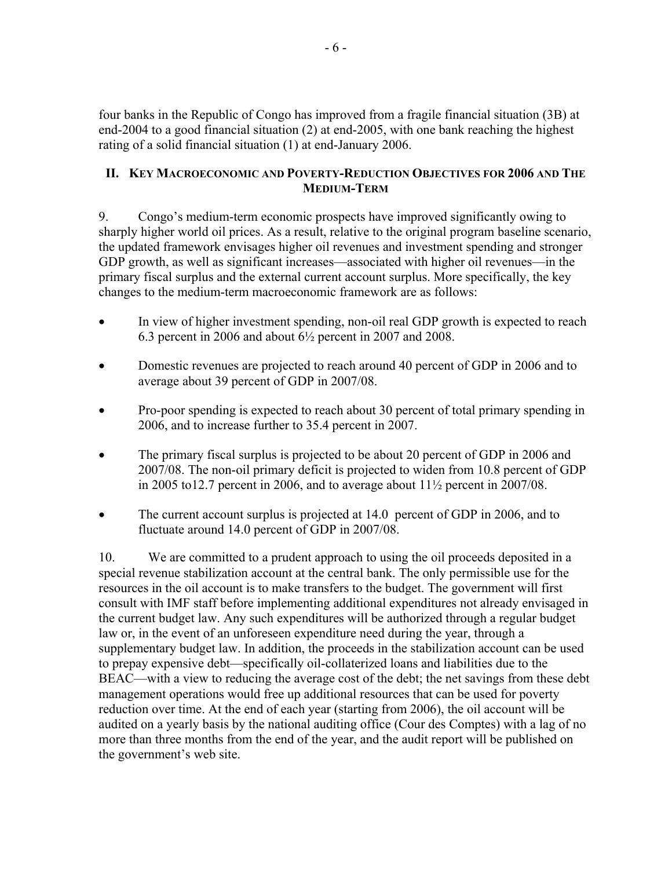four banks in the Republic of Congo has improved from a fragile financial situation (3B) at end-2004 to a good financial situation (2) at end-2005, with one bank reaching the highest rating of a solid financial situation (1) at end-January 2006.

## **II. KEY MACROECONOMIC AND POVERTY-REDUCTION OBJECTIVES FOR 2006 AND THE MEDIUM-TERM**

9. Congo's medium-term economic prospects have improved significantly owing to sharply higher world oil prices. As a result, relative to the original program baseline scenario, the updated framework envisages higher oil revenues and investment spending and stronger GDP growth, as well as significant increases—associated with higher oil revenues—in the primary fiscal surplus and the external current account surplus. More specifically, the key changes to the medium-term macroeconomic framework are as follows:

- In view of higher investment spending, non-oil real GDP growth is expected to reach 6.3 percent in 2006 and about 6½ percent in 2007 and 2008.
- Domestic revenues are projected to reach around 40 percent of GDP in 2006 and to average about 39 percent of GDP in 2007/08.
- Pro-poor spending is expected to reach about 30 percent of total primary spending in 2006, and to increase further to 35.4 percent in 2007.
- The primary fiscal surplus is projected to be about 20 percent of GDP in 2006 and 2007/08. The non-oil primary deficit is projected to widen from 10.8 percent of GDP in 2005 to12.7 percent in 2006, and to average about  $11\frac{1}{2}$  percent in 2007/08.
- The current account surplus is projected at 14.0 percent of GDP in 2006, and to fluctuate around 14.0 percent of GDP in 2007/08.

10. We are committed to a prudent approach to using the oil proceeds deposited in a special revenue stabilization account at the central bank. The only permissible use for the resources in the oil account is to make transfers to the budget. The government will first consult with IMF staff before implementing additional expenditures not already envisaged in the current budget law. Any such expenditures will be authorized through a regular budget law or, in the event of an unforeseen expenditure need during the year, through a supplementary budget law. In addition, the proceeds in the stabilization account can be used to prepay expensive debt—specifically oil-collaterized loans and liabilities due to the BEAC—with a view to reducing the average cost of the debt; the net savings from these debt management operations would free up additional resources that can be used for poverty reduction over time. At the end of each year (starting from 2006), the oil account will be audited on a yearly basis by the national auditing office (Cour des Comptes) with a lag of no more than three months from the end of the year, and the audit report will be published on the government's web site.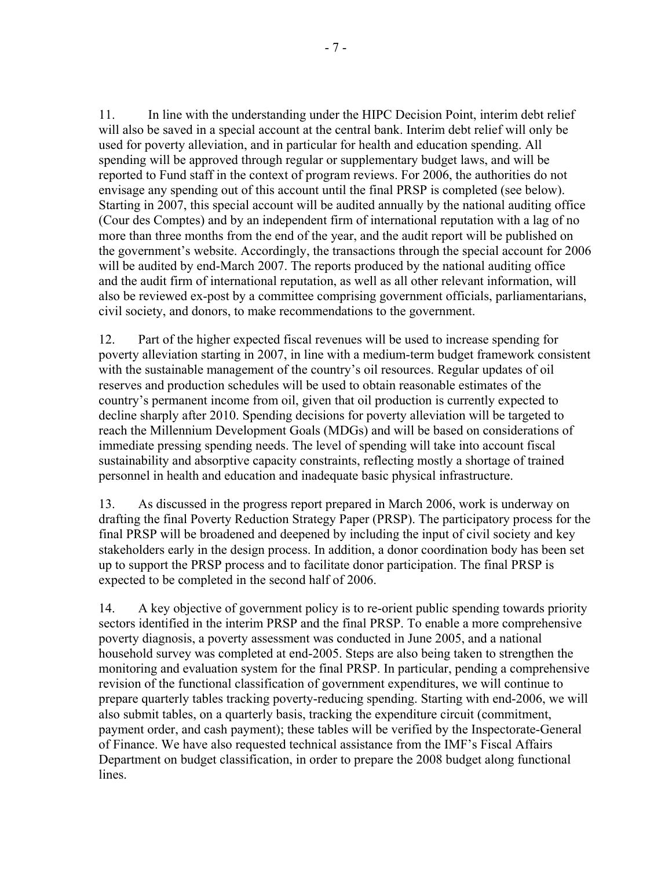11. In line with the understanding under the HIPC Decision Point, interim debt relief will also be saved in a special account at the central bank. Interim debt relief will only be used for poverty alleviation, and in particular for health and education spending. All spending will be approved through regular or supplementary budget laws, and will be reported to Fund staff in the context of program reviews. For 2006, the authorities do not envisage any spending out of this account until the final PRSP is completed (see below). Starting in 2007, this special account will be audited annually by the national auditing office (Cour des Comptes) and by an independent firm of international reputation with a lag of no more than three months from the end of the year, and the audit report will be published on the government's website. Accordingly, the transactions through the special account for 2006 will be audited by end-March 2007. The reports produced by the national auditing office and the audit firm of international reputation, as well as all other relevant information, will also be reviewed ex-post by a committee comprising government officials, parliamentarians, civil society, and donors, to make recommendations to the government.

12. Part of the higher expected fiscal revenues will be used to increase spending for poverty alleviation starting in 2007, in line with a medium-term budget framework consistent with the sustainable management of the country's oil resources. Regular updates of oil reserves and production schedules will be used to obtain reasonable estimates of the country's permanent income from oil, given that oil production is currently expected to decline sharply after 2010. Spending decisions for poverty alleviation will be targeted to reach the Millennium Development Goals (MDGs) and will be based on considerations of immediate pressing spending needs. The level of spending will take into account fiscal sustainability and absorptive capacity constraints, reflecting mostly a shortage of trained personnel in health and education and inadequate basic physical infrastructure.

13. As discussed in the progress report prepared in March 2006, work is underway on drafting the final Poverty Reduction Strategy Paper (PRSP). The participatory process for the final PRSP will be broadened and deepened by including the input of civil society and key stakeholders early in the design process. In addition, a donor coordination body has been set up to support the PRSP process and to facilitate donor participation. The final PRSP is expected to be completed in the second half of 2006.

14. A key objective of government policy is to re-orient public spending towards priority sectors identified in the interim PRSP and the final PRSP. To enable a more comprehensive poverty diagnosis, a poverty assessment was conducted in June 2005, and a national household survey was completed at end-2005. Steps are also being taken to strengthen the monitoring and evaluation system for the final PRSP. In particular, pending a comprehensive revision of the functional classification of government expenditures, we will continue to prepare quarterly tables tracking poverty-reducing spending. Starting with end-2006, we will also submit tables, on a quarterly basis, tracking the expenditure circuit (commitment, payment order, and cash payment); these tables will be verified by the Inspectorate-General of Finance. We have also requested technical assistance from the IMF's Fiscal Affairs Department on budget classification, in order to prepare the 2008 budget along functional lines.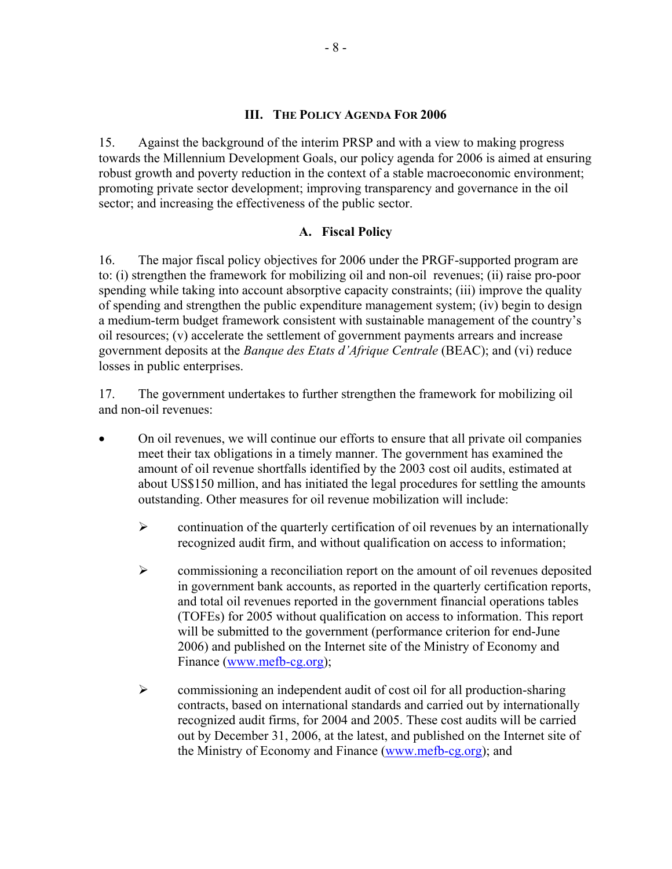## **III. THE POLICY AGENDA FOR 2006**

15. Against the background of the interim PRSP and with a view to making progress towards the Millennium Development Goals, our policy agenda for 2006 is aimed at ensuring robust growth and poverty reduction in the context of a stable macroeconomic environment; promoting private sector development; improving transparency and governance in the oil sector; and increasing the effectiveness of the public sector.

## **A. Fiscal Policy**

16. The major fiscal policy objectives for 2006 under the PRGF-supported program are to: (i) strengthen the framework for mobilizing oil and non-oil revenues; (ii) raise pro-poor spending while taking into account absorptive capacity constraints; (iii) improve the quality of spending and strengthen the public expenditure management system; (iv) begin to design a medium-term budget framework consistent with sustainable management of the country's oil resources; (v) accelerate the settlement of government payments arrears and increase government deposits at the *Banque des Etats d'Afrique Centrale* (BEAC); and (vi) reduce losses in public enterprises.

17. The government undertakes to further strengthen the framework for mobilizing oil and non-oil revenues:

- On oil revenues, we will continue our efforts to ensure that all private oil companies meet their tax obligations in a timely manner. The government has examined the amount of oil revenue shortfalls identified by the 2003 cost oil audits, estimated at about US\$150 million, and has initiated the legal procedures for settling the amounts outstanding. Other measures for oil revenue mobilization will include:
	- $\triangleright$  continuation of the quarterly certification of oil revenues by an internationally recognized audit firm, and without qualification on access to information;
	- $\triangleright$  commissioning a reconciliation report on the amount of oil revenues deposited in government bank accounts, as reported in the quarterly certification reports, and total oil revenues reported in the government financial operations tables (TOFEs) for 2005 without qualification on access to information. This report will be submitted to the government (performance criterion for end-June 2006) and published on the Internet site of the Ministry of Economy and Finance (www.mefb-cg.org);
	- $\triangleright$  commissioning an independent audit of cost oil for all production-sharing contracts, based on international standards and carried out by internationally recognized audit firms, for 2004 and 2005. These cost audits will be carried out by December 31, 2006, at the latest, and published on the Internet site of the Ministry of Economy and Finance (www.mefb-cg.org); and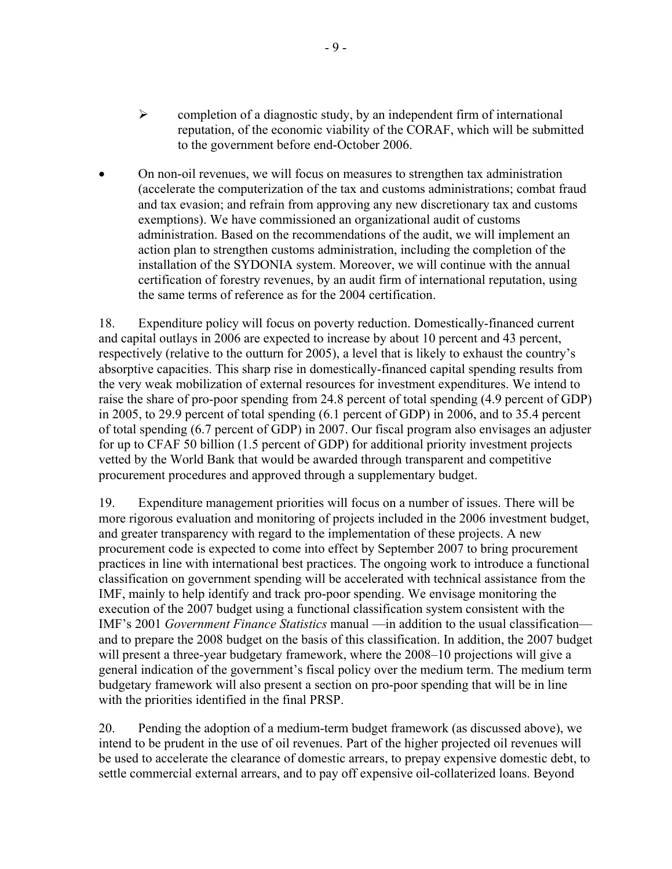- $\triangleright$  completion of a diagnostic study, by an independent firm of international reputation, of the economic viability of the CORAF, which will be submitted to the government before end-October 2006.
- On non-oil revenues, we will focus on measures to strengthen tax administration (accelerate the computerization of the tax and customs administrations; combat fraud and tax evasion; and refrain from approving any new discretionary tax and customs exemptions). We have commissioned an organizational audit of customs administration. Based on the recommendations of the audit, we will implement an action plan to strengthen customs administration, including the completion of the installation of the SYDONIA system. Moreover, we will continue with the annual certification of forestry revenues, by an audit firm of international reputation, using the same terms of reference as for the 2004 certification.

18. Expenditure policy will focus on poverty reduction. Domestically-financed current and capital outlays in 2006 are expected to increase by about 10 percent and 43 percent, respectively (relative to the outturn for 2005), a level that is likely to exhaust the country's absorptive capacities. This sharp rise in domestically-financed capital spending results from the very weak mobilization of external resources for investment expenditures. We intend to raise the share of pro-poor spending from 24.8 percent of total spending (4.9 percent of GDP) in 2005, to 29.9 percent of total spending (6.1 percent of GDP) in 2006, and to 35.4 percent of total spending (6.7 percent of GDP) in 2007. Our fiscal program also envisages an adjuster for up to CFAF 50 billion (1.5 percent of GDP) for additional priority investment projects vetted by the World Bank that would be awarded through transparent and competitive procurement procedures and approved through a supplementary budget.

19. Expenditure management priorities will focus on a number of issues. There will be more rigorous evaluation and monitoring of projects included in the 2006 investment budget, and greater transparency with regard to the implementation of these projects. A new procurement code is expected to come into effect by September 2007 to bring procurement practices in line with international best practices. The ongoing work to introduce a functional classification on government spending will be accelerated with technical assistance from the IMF, mainly to help identify and track pro-poor spending. We envisage monitoring the execution of the 2007 budget using a functional classification system consistent with the IMF's 2001 *Government Finance Statistics* manual —in addition to the usual classification and to prepare the 2008 budget on the basis of this classification. In addition, the 2007 budget will present a three-year budgetary framework, where the 2008–10 projections will give a general indication of the government's fiscal policy over the medium term. The medium term budgetary framework will also present a section on pro-poor spending that will be in line with the priorities identified in the final PRSP.

20. Pending the adoption of a medium-term budget framework (as discussed above), we intend to be prudent in the use of oil revenues. Part of the higher projected oil revenues will be used to accelerate the clearance of domestic arrears, to prepay expensive domestic debt, to settle commercial external arrears, and to pay off expensive oil-collaterized loans. Beyond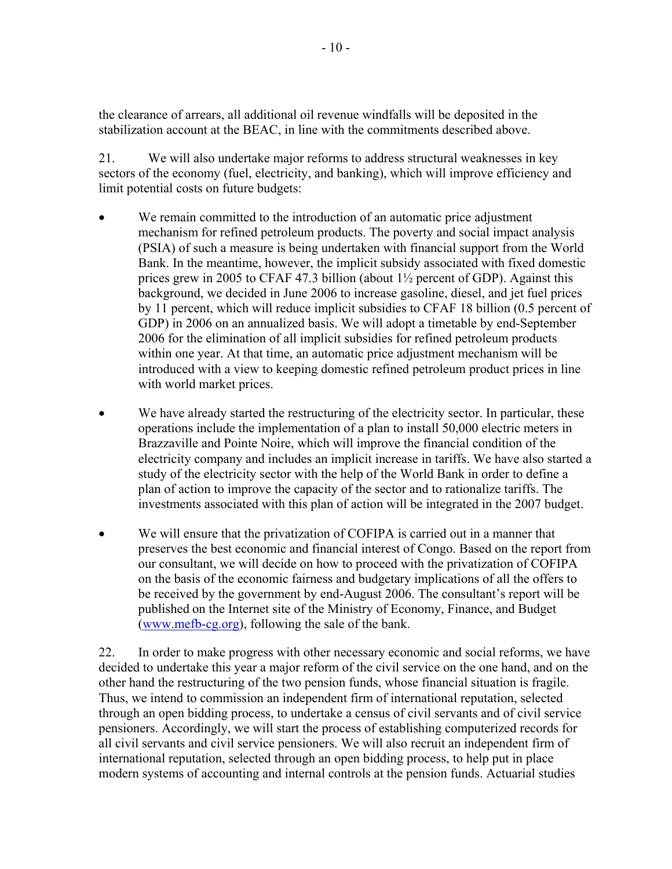the clearance of arrears, all additional oil revenue windfalls will be deposited in the stabilization account at the BEAC, in line with the commitments described above.

21. We will also undertake major reforms to address structural weaknesses in key sectors of the economy (fuel, electricity, and banking), which will improve efficiency and limit potential costs on future budgets:

- We remain committed to the introduction of an automatic price adjustment mechanism for refined petroleum products. The poverty and social impact analysis (PSIA) of such a measure is being undertaken with financial support from the World Bank. In the meantime, however, the implicit subsidy associated with fixed domestic prices grew in 2005 to CFAF 47.3 billion (about 1½ percent of GDP). Against this background, we decided in June 2006 to increase gasoline, diesel, and jet fuel prices by 11 percent, which will reduce implicit subsidies to CFAF 18 billion (0.5 percent of GDP) in 2006 on an annualized basis. We will adopt a timetable by end-September 2006 for the elimination of all implicit subsidies for refined petroleum products within one year. At that time, an automatic price adjustment mechanism will be introduced with a view to keeping domestic refined petroleum product prices in line with world market prices.
- We have already started the restructuring of the electricity sector. In particular, these operations include the implementation of a plan to install 50,000 electric meters in Brazzaville and Pointe Noire, which will improve the financial condition of the electricity company and includes an implicit increase in tariffs. We have also started a study of the electricity sector with the help of the World Bank in order to define a plan of action to improve the capacity of the sector and to rationalize tariffs. The investments associated with this plan of action will be integrated in the 2007 budget.
- We will ensure that the privatization of COFIPA is carried out in a manner that preserves the best economic and financial interest of Congo. Based on the report from our consultant, we will decide on how to proceed with the privatization of COFIPA on the basis of the economic fairness and budgetary implications of all the offers to be received by the government by end-August 2006. The consultant's report will be published on the Internet site of the Ministry of Economy, Finance, and Budget (www.mefb-cg.org), following the sale of the bank.

22. In order to make progress with other necessary economic and social reforms, we have decided to undertake this year a major reform of the civil service on the one hand, and on the other hand the restructuring of the two pension funds, whose financial situation is fragile. Thus, we intend to commission an independent firm of international reputation, selected through an open bidding process, to undertake a census of civil servants and of civil service pensioners. Accordingly, we will start the process of establishing computerized records for all civil servants and civil service pensioners. We will also recruit an independent firm of international reputation, selected through an open bidding process, to help put in place modern systems of accounting and internal controls at the pension funds. Actuarial studies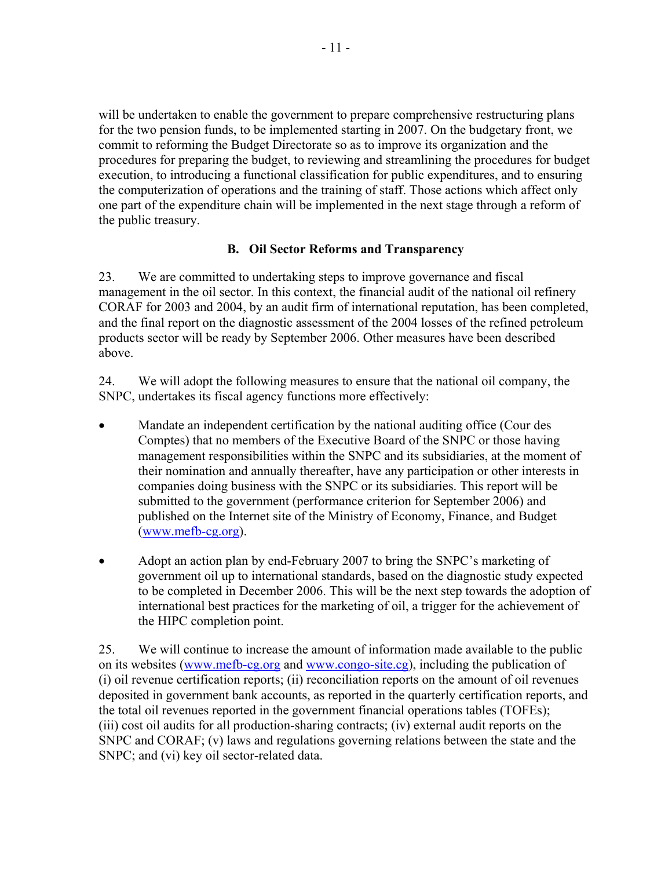will be undertaken to enable the government to prepare comprehensive restructuring plans for the two pension funds, to be implemented starting in 2007. On the budgetary front, we commit to reforming the Budget Directorate so as to improve its organization and the procedures for preparing the budget, to reviewing and streamlining the procedures for budget execution, to introducing a functional classification for public expenditures, and to ensuring the computerization of operations and the training of staff. Those actions which affect only one part of the expenditure chain will be implemented in the next stage through a reform of the public treasury.

# **B. Oil Sector Reforms and Transparency**

23. We are committed to undertaking steps to improve governance and fiscal management in the oil sector. In this context, the financial audit of the national oil refinery CORAF for 2003 and 2004, by an audit firm of international reputation, has been completed, and the final report on the diagnostic assessment of the 2004 losses of the refined petroleum products sector will be ready by September 2006. Other measures have been described above.

24. We will adopt the following measures to ensure that the national oil company, the SNPC, undertakes its fiscal agency functions more effectively:

- Mandate an independent certification by the national auditing office (Cour des Comptes) that no members of the Executive Board of the SNPC or those having management responsibilities within the SNPC and its subsidiaries, at the moment of their nomination and annually thereafter, have any participation or other interests in companies doing business with the SNPC or its subsidiaries. This report will be submitted to the government (performance criterion for September 2006) and published on the Internet site of the Ministry of Economy, Finance, and Budget (www.mefb-cg.org).
- Adopt an action plan by end-February 2007 to bring the SNPC's marketing of government oil up to international standards, based on the diagnostic study expected to be completed in December 2006. This will be the next step towards the adoption of international best practices for the marketing of oil, a trigger for the achievement of the HIPC completion point.

25. We will continue to increase the amount of information made available to the public on its websites (www.mefb-cg.org and www.congo-site.cg), including the publication of (i) oil revenue certification reports; (ii) reconciliation reports on the amount of oil revenues deposited in government bank accounts, as reported in the quarterly certification reports, and the total oil revenues reported in the government financial operations tables (TOFEs); (iii) cost oil audits for all production-sharing contracts; (iv) external audit reports on the SNPC and CORAF; (v) laws and regulations governing relations between the state and the SNPC; and (vi) key oil sector-related data.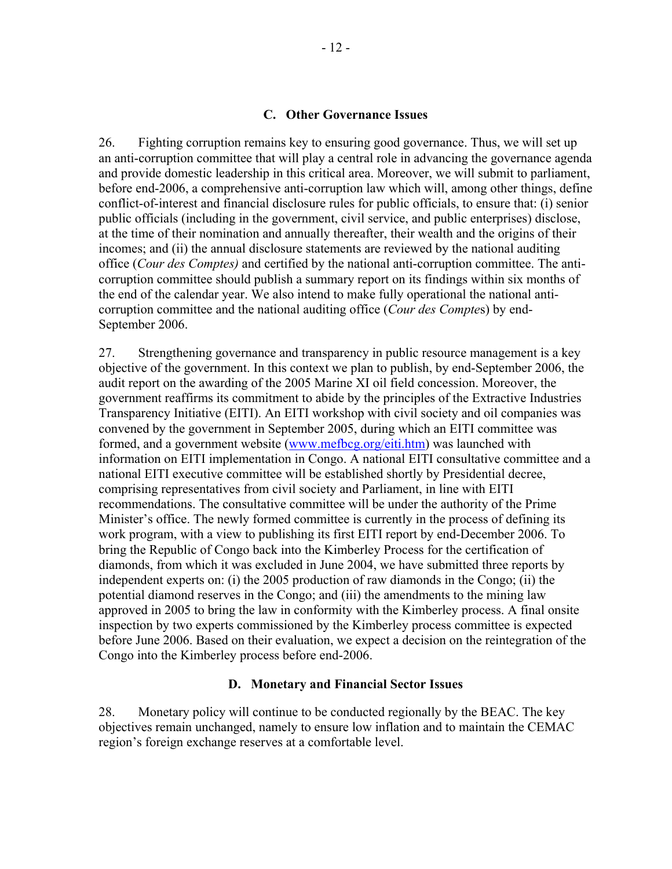### **C. Other Governance Issues**

26. Fighting corruption remains key to ensuring good governance. Thus, we will set up an anti-corruption committee that will play a central role in advancing the governance agenda and provide domestic leadership in this critical area. Moreover, we will submit to parliament, before end-2006, a comprehensive anti-corruption law which will, among other things, define conflict-of-interest and financial disclosure rules for public officials, to ensure that: (i) senior public officials (including in the government, civil service, and public enterprises) disclose, at the time of their nomination and annually thereafter, their wealth and the origins of their incomes; and (ii) the annual disclosure statements are reviewed by the national auditing office (*Cour des Comptes)* and certified by the national anti-corruption committee. The anticorruption committee should publish a summary report on its findings within six months of the end of the calendar year. We also intend to make fully operational the national anticorruption committee and the national auditing office (*Cour des Compte*s) by end-September 2006.

27. Strengthening governance and transparency in public resource management is a key objective of the government. In this context we plan to publish, by end-September 2006, the audit report on the awarding of the 2005 Marine XI oil field concession. Moreover, the government reaffirms its commitment to abide by the principles of the Extractive Industries Transparency Initiative (EITI). An EITI workshop with civil society and oil companies was convened by the government in September 2005, during which an EITI committee was formed, and a government website (www.mefbcg.org/eiti.htm) was launched with information on EITI implementation in Congo. A national EITI consultative committee and a national EITI executive committee will be established shortly by Presidential decree, comprising representatives from civil society and Parliament, in line with EITI recommendations. The consultative committee will be under the authority of the Prime Minister's office. The newly formed committee is currently in the process of defining its work program, with a view to publishing its first EITI report by end-December 2006. To bring the Republic of Congo back into the Kimberley Process for the certification of diamonds, from which it was excluded in June 2004, we have submitted three reports by independent experts on: (i) the 2005 production of raw diamonds in the Congo; (ii) the potential diamond reserves in the Congo; and (iii) the amendments to the mining law approved in 2005 to bring the law in conformity with the Kimberley process. A final onsite inspection by two experts commissioned by the Kimberley process committee is expected before June 2006. Based on their evaluation, we expect a decision on the reintegration of the Congo into the Kimberley process before end-2006.

## **D. Monetary and Financial Sector Issues**

28. Monetary policy will continue to be conducted regionally by the BEAC. The key objectives remain unchanged, namely to ensure low inflation and to maintain the CEMAC region's foreign exchange reserves at a comfortable level.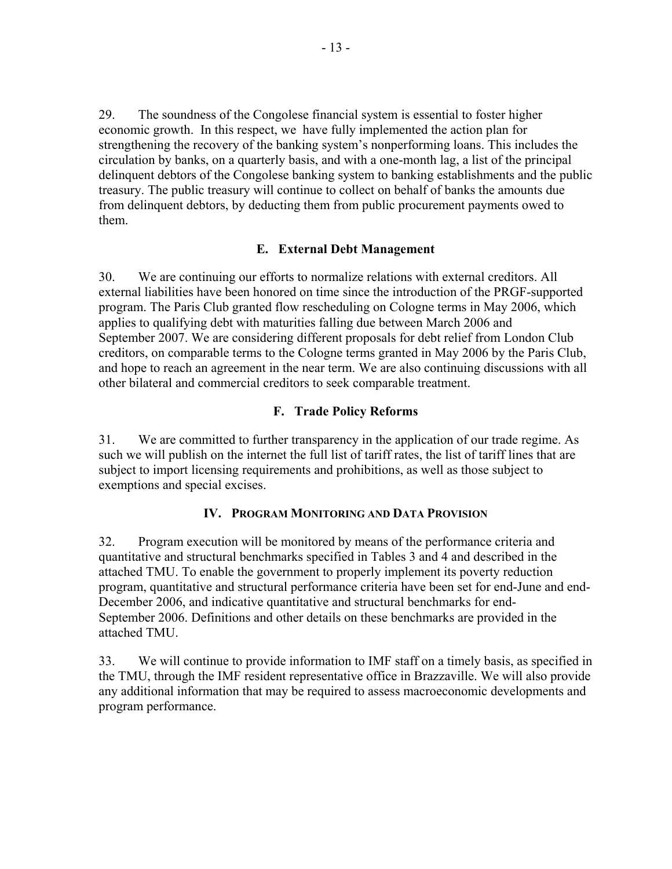29. The soundness of the Congolese financial system is essential to foster higher economic growth.In this respect, we have fully implemented the action plan for strengthening the recovery of the banking system's nonperforming loans. This includes the circulation by banks, on a quarterly basis, and with a one-month lag, a list of the principal delinquent debtors of the Congolese banking system to banking establishments and the public treasury. The public treasury will continue to collect on behalf of banks the amounts due from delinquent debtors, by deducting them from public procurement payments owed to them.

# **E. External Debt Management**

30. We are continuing our efforts to normalize relations with external creditors. All external liabilities have been honored on time since the introduction of the PRGF-supported program. The Paris Club granted flow rescheduling on Cologne terms in May 2006, which applies to qualifying debt with maturities falling due between March 2006 and September 2007. We are considering different proposals for debt relief from London Club creditors, on comparable terms to the Cologne terms granted in May 2006 by the Paris Club, and hope to reach an agreement in the near term. We are also continuing discussions with all other bilateral and commercial creditors to seek comparable treatment.

# **F. Trade Policy Reforms**

31. We are committed to further transparency in the application of our trade regime. As such we will publish on the internet the full list of tariff rates, the list of tariff lines that are subject to import licensing requirements and prohibitions, as well as those subject to exemptions and special excises.

# **IV. PROGRAM MONITORING AND DATA PROVISION**

32. Program execution will be monitored by means of the performance criteria and quantitative and structural benchmarks specified in Tables 3 and 4 and described in the attached TMU. To enable the government to properly implement its poverty reduction program, quantitative and structural performance criteria have been set for end-June and end-December 2006, and indicative quantitative and structural benchmarks for end-September 2006. Definitions and other details on these benchmarks are provided in the attached TMU.

33. We will continue to provide information to IMF staff on a timely basis, as specified in the TMU, through the IMF resident representative office in Brazzaville. We will also provide any additional information that may be required to assess macroeconomic developments and program performance.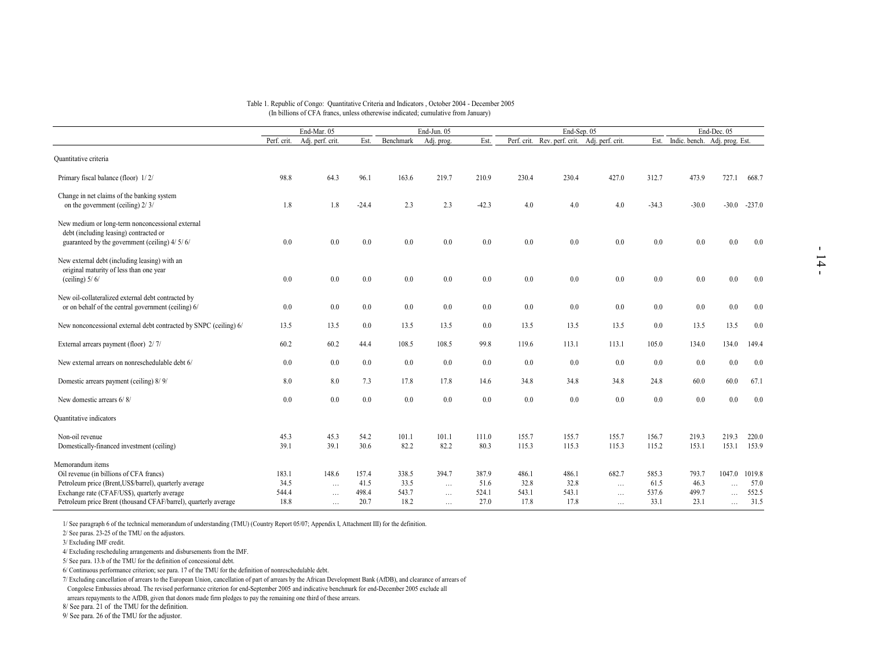#### Table 1. Republic of Congo: Quantitative Criteria and Indicators , October 2004 - December 2005 (In billions of CFA francs, unless otherewise indicated; cumulative from January)

| Quantitative criteria<br>Primary fiscal balance (floor) 1/2/<br>Change in net claims of the banking system<br>on the government (ceiling) $2/\sqrt{3}$<br>New medium or long-term nonconcessional external<br>debt (including leasing) contracted or<br>guaranteed by the government (ceiling) 4/ 5/ 6/<br>New external debt (including leasing) with an<br>original maturity of less than one year<br>(ceiling) $5/6/$<br>New oil-collateralized external debt contracted by<br>or on behalf of the central government (ceiling) 6/<br>New nonconcessional external debt contracted by SNPC (ceiling) 6/<br>External arrears payment (floor) 2/7/<br>New external arrears on nonreschedulable debt 6/<br>Domestic arrears payment (ceiling) 8/9/<br>New domestic arrears 6/8/ | Perf. crit.<br>98.8<br>1.8<br>$0.0\,$<br>0.0 | End-Mar. 05<br>Adj. perf. crit.<br>64.3<br>1.8<br>0.0<br>0.0 | Est.<br>96.1<br>$-24.4$<br>0.0 | Benchmark<br>163.6<br>2.3<br>$0.0\,$ | End-Jun. 05<br>Adj. prog.<br>219.7<br>2.3<br>0.0 | Est.<br>210.9<br>$-42.3$<br>0.0 | Perf. crit.<br>230.4<br>4.0<br>0.0 | End-Sep. 05<br>Rev. perf. crit. Adj. perf. crit.<br>230.4<br>4.0<br>0.0 | 427.0<br>4.0<br>0.0  | Est.<br>312.7<br>$-34.3$<br>0.0 | Indic. bench. Adj. prog. Est.<br>473.9<br>$-30.0$ | End-Dec. 05<br>727.1  | 668.7<br>$-30.0 -237.0$ |
|--------------------------------------------------------------------------------------------------------------------------------------------------------------------------------------------------------------------------------------------------------------------------------------------------------------------------------------------------------------------------------------------------------------------------------------------------------------------------------------------------------------------------------------------------------------------------------------------------------------------------------------------------------------------------------------------------------------------------------------------------------------------------------|----------------------------------------------|--------------------------------------------------------------|--------------------------------|--------------------------------------|--------------------------------------------------|---------------------------------|------------------------------------|-------------------------------------------------------------------------|----------------------|---------------------------------|---------------------------------------------------|-----------------------|-------------------------|
|                                                                                                                                                                                                                                                                                                                                                                                                                                                                                                                                                                                                                                                                                                                                                                                |                                              |                                                              |                                |                                      |                                                  |                                 |                                    |                                                                         |                      |                                 |                                                   |                       |                         |
|                                                                                                                                                                                                                                                                                                                                                                                                                                                                                                                                                                                                                                                                                                                                                                                |                                              |                                                              |                                |                                      |                                                  |                                 |                                    |                                                                         |                      |                                 |                                                   |                       |                         |
|                                                                                                                                                                                                                                                                                                                                                                                                                                                                                                                                                                                                                                                                                                                                                                                |                                              |                                                              |                                |                                      |                                                  |                                 |                                    |                                                                         |                      |                                 |                                                   |                       |                         |
|                                                                                                                                                                                                                                                                                                                                                                                                                                                                                                                                                                                                                                                                                                                                                                                |                                              |                                                              |                                |                                      |                                                  |                                 |                                    |                                                                         |                      |                                 |                                                   |                       |                         |
|                                                                                                                                                                                                                                                                                                                                                                                                                                                                                                                                                                                                                                                                                                                                                                                |                                              |                                                              |                                |                                      |                                                  |                                 |                                    |                                                                         |                      |                                 |                                                   |                       |                         |
|                                                                                                                                                                                                                                                                                                                                                                                                                                                                                                                                                                                                                                                                                                                                                                                |                                              |                                                              |                                |                                      |                                                  |                                 |                                    |                                                                         |                      |                                 | 0.0                                               | 0.0                   | 0.0                     |
|                                                                                                                                                                                                                                                                                                                                                                                                                                                                                                                                                                                                                                                                                                                                                                                |                                              |                                                              | $0.0\,$                        | $0.0\,$                              | $0.0\,$                                          | 0.0                             | 0.0                                | $0.0\,$                                                                 | 0.0                  | 0.0                             | $0.0\,$                                           | 0.0                   | 0.0                     |
|                                                                                                                                                                                                                                                                                                                                                                                                                                                                                                                                                                                                                                                                                                                                                                                | 0.0                                          | 0.0                                                          | $0.0\,$                        | $0.0\,$                              | 0.0                                              | 0.0                             | 0.0                                | 0.0                                                                     | 0.0                  | 0.0                             | 0.0                                               | 0.0                   | 0.0                     |
|                                                                                                                                                                                                                                                                                                                                                                                                                                                                                                                                                                                                                                                                                                                                                                                | 13.5                                         | 13.5                                                         | 0.0                            | 13.5                                 | 13.5                                             | 0.0                             | 13.5                               | 13.5                                                                    | 13.5                 | 0.0                             | 13.5                                              | 13.5                  | 0.0                     |
|                                                                                                                                                                                                                                                                                                                                                                                                                                                                                                                                                                                                                                                                                                                                                                                | 60.2                                         | 60.2                                                         | 44.4                           | 108.5                                | 108.5                                            | 99.8                            | 119.6                              | 113.1                                                                   | 113.1                | 105.0                           | 134.0                                             | 134.0                 | 149.4                   |
|                                                                                                                                                                                                                                                                                                                                                                                                                                                                                                                                                                                                                                                                                                                                                                                | 0.0                                          | 0.0                                                          | 0.0                            | 0.0                                  | 0.0                                              | 0.0                             | 0.0                                | 0.0                                                                     | 0.0                  | 0.0                             | 0.0                                               | 0.0                   | 0.0                     |
|                                                                                                                                                                                                                                                                                                                                                                                                                                                                                                                                                                                                                                                                                                                                                                                | 8.0                                          | 8.0                                                          | 7.3                            | 17.8                                 | 17.8                                             | 14.6                            | 34.8                               | 34.8                                                                    | 34.8                 | 24.8                            | 60.0                                              | 60.0                  | 67.1                    |
|                                                                                                                                                                                                                                                                                                                                                                                                                                                                                                                                                                                                                                                                                                                                                                                | 0.0                                          | 0.0                                                          | 0.0                            | $0.0\,$                              | 0.0                                              | 0.0                             | 0.0                                | 0.0                                                                     | $0.0\,$              | 0.0                             | 0.0                                               | 0.0                   | 0.0                     |
| <b>Quantitative</b> indicators                                                                                                                                                                                                                                                                                                                                                                                                                                                                                                                                                                                                                                                                                                                                                 |                                              |                                                              |                                |                                      |                                                  |                                 |                                    |                                                                         |                      |                                 |                                                   |                       |                         |
| Non-oil revenue<br>Domestically-financed investment (ceiling)                                                                                                                                                                                                                                                                                                                                                                                                                                                                                                                                                                                                                                                                                                                  | 45.3<br>39.1                                 | 45.3<br>39.1                                                 | 54.2<br>30.6                   | 101.1<br>82.2                        | 101.1<br>82.2                                    | 111.0<br>80.3                   | 155.7<br>115.3                     | 155.7<br>115.3                                                          | 155.7<br>115.3       | 156.7<br>115.2                  | 219.3<br>153.1                                    | 219.3                 | 220.0<br>153.1 153.9    |
|                                                                                                                                                                                                                                                                                                                                                                                                                                                                                                                                                                                                                                                                                                                                                                                |                                              |                                                              |                                |                                      |                                                  |                                 |                                    |                                                                         |                      |                                 |                                                   |                       |                         |
| Memorandum items                                                                                                                                                                                                                                                                                                                                                                                                                                                                                                                                                                                                                                                                                                                                                               |                                              |                                                              |                                |                                      |                                                  |                                 |                                    |                                                                         |                      |                                 |                                                   |                       |                         |
| Oil revenue (in billions of CFA francs)                                                                                                                                                                                                                                                                                                                                                                                                                                                                                                                                                                                                                                                                                                                                        | 183.1                                        | 148.6                                                        | 157.4                          | 338.5                                | 394.7                                            | 387.9                           | 486.1                              | 486.1                                                                   | 682.7                | 585.3                           | 793.7                                             | 1047.0 1019.8         |                         |
| Petroleum price (Brent, US\$/barrel), quarterly average                                                                                                                                                                                                                                                                                                                                                                                                                                                                                                                                                                                                                                                                                                                        | 34.5<br>544.4                                | $\ldots$                                                     | 41.5<br>498.4                  | 33.5<br>543.7                        | $\ldots$                                         | 51.6<br>524.1                   | 32.8<br>543.1                      | 32.8<br>543.1                                                           | $\cdots$             | 61.5<br>537.6                   | 46.3<br>499.7                                     | $\ddotsc$             | 57.0<br>552.5           |
| Exchange rate (CFAF/US\$), quarterly average<br>Petroleum price Brent (thousand CFAF/barrel), quarterly average                                                                                                                                                                                                                                                                                                                                                                                                                                                                                                                                                                                                                                                                |                                              | $\ldots$                                                     |                                |                                      | $\ldots$                                         | 27.0                            | 17.8                               | 17.8                                                                    | $\ldots$<br>$\cdots$ | 33.1                            | 23.1                                              | $\ddotsc$<br>$\cdots$ | 31.5                    |

1/ See paragraph 6 of the technical memorandum of understanding (TMU) (Country Report 05/07; Appendix I, Attachment III) for the definition.

2/ See paras. 23-25 of the TMU on the adjustors.

3/ Excluding IMF credit.

4/ Excluding rescheduling arrangements and disbursements from the IMF.

5/ See para. 13.b of the TMU for the definition of concessional debt.

6/ Continuous performance criterion; see para. 17 of the TMU for the definition of nonreschedulable debt.

7/ Excluding cancellation of arrears to the European Union, cancellation of part of arrears by the African Development Bank (AfDB), and clearance of arrears of

Congolese Embassies abroad. The revised performance criterion for end-September 2005 and indicative benchmark for end-December 2005 exclude all

arrears repayments to the AfDB, given that donors made firm pledges to pay the remaining one third of these arrears.

8/ See para. 21 of the TMU for the definition.

9/ See para. 26 of the TMU for the adjustor.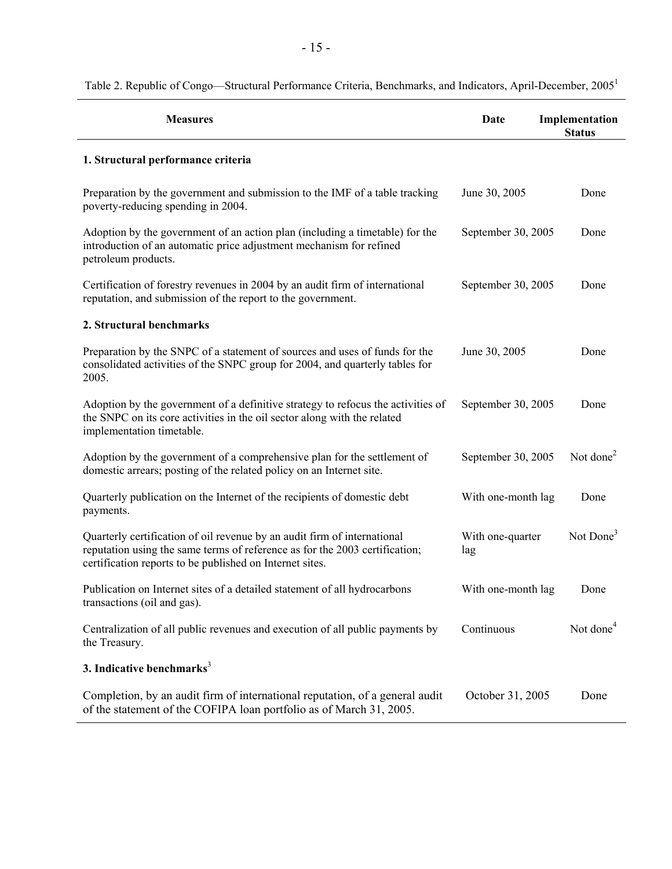| <b>Measures</b>                                                                                                                                                                                                     | Date                    | Implementation<br><b>Status</b> |
|---------------------------------------------------------------------------------------------------------------------------------------------------------------------------------------------------------------------|-------------------------|---------------------------------|
| 1. Structural performance criteria                                                                                                                                                                                  |                         |                                 |
| Preparation by the government and submission to the IMF of a table tracking<br>poverty-reducing spending in 2004.                                                                                                   | June 30, 2005           | Done                            |
| Adoption by the government of an action plan (including a timetable) for the<br>introduction of an automatic price adjustment mechanism for refined<br>petroleum products.                                          | September 30, 2005      | Done                            |
| Certification of forestry revenues in 2004 by an audit firm of international<br>reputation, and submission of the report to the government.                                                                         | September 30, 2005      | Done                            |
| 2. Structural benchmarks                                                                                                                                                                                            |                         |                                 |
| Preparation by the SNPC of a statement of sources and uses of funds for the<br>consolidated activities of the SNPC group for 2004, and quarterly tables for<br>2005.                                                | June 30, 2005           | Done                            |
| Adoption by the government of a definitive strategy to refocus the activities of<br>the SNPC on its core activities in the oil sector along with the related<br>implementation timetable.                           | September 30, 2005      | Done                            |
| Adoption by the government of a comprehensive plan for the settlement of<br>domestic arrears; posting of the related policy on an Internet site.                                                                    | September 30, 2005      | Not done <sup>2</sup>           |
| Quarterly publication on the Internet of the recipients of domestic debt<br>payments.                                                                                                                               | With one-month lag      | Done                            |
| Quarterly certification of oil revenue by an audit firm of international<br>reputation using the same terms of reference as for the 2003 certification;<br>certification reports to be published on Internet sites. | With one-quarter<br>lag | Not Done <sup>3</sup>           |
| Publication on Internet sites of a detailed statement of all hydrocarbons<br>transactions (oil and gas).                                                                                                            | With one-month lag      | Done                            |
| Centralization of all public revenues and execution of all public payments by<br>the Treasury.                                                                                                                      | Continuous              | Not done <sup>4</sup>           |
| 3. Indicative benchmarks $3$                                                                                                                                                                                        |                         |                                 |
| Completion, by an audit firm of international reputation, of a general audit<br>of the statement of the COFIPA loan portfolio as of March 31, 2005.                                                                 | October 31, 2005        | Done                            |

# Table 2. Republic of Congo—Structural Performance Criteria, Benchmarks, and Indicators, April-December, 2005<sup>1</sup>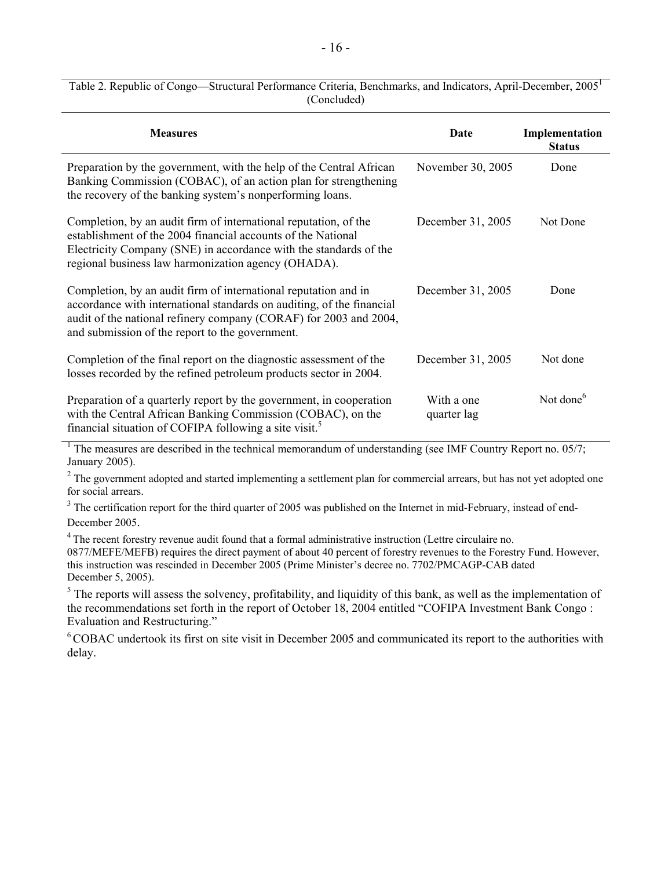| <b>Measures</b>                                                                                                                                                                                                                                                  | Date                      | Implementation<br><b>Status</b> |
|------------------------------------------------------------------------------------------------------------------------------------------------------------------------------------------------------------------------------------------------------------------|---------------------------|---------------------------------|
| Preparation by the government, with the help of the Central African<br>Banking Commission (COBAC), of an action plan for strengthening<br>the recovery of the banking system's nonperforming loans.                                                              | November 30, 2005         | Done                            |
| Completion, by an audit firm of international reputation, of the<br>establishment of the 2004 financial accounts of the National<br>Electricity Company (SNE) in accordance with the standards of the<br>regional business law harmonization agency (OHADA).     | December 31, 2005         | Not Done                        |
| Completion, by an audit firm of international reputation and in<br>accordance with international standards on auditing, of the financial<br>audit of the national refinery company (CORAF) for 2003 and 2004,<br>and submission of the report to the government. | December 31, 2005         | Done                            |
| Completion of the final report on the diagnostic assessment of the<br>losses recorded by the refined petroleum products sector in 2004.                                                                                                                          | December 31, 2005         | Not done                        |
| Preparation of a quarterly report by the government, in cooperation<br>with the Central African Banking Commission (COBAC), on the<br>financial situation of COFIPA following a site visit. <sup>5</sup>                                                         | With a one<br>quarter lag | Not done <sup>6</sup>           |

Table 2. Republic of Congo—Structural Performance Criteria, Benchmarks, and Indicators, April-December, 2005<sup>1</sup> (Concluded)

1 The measures are described in the technical memorandum of understanding (see IMF Country Report no. 05/7; January 2005).

 $2^2$  The government adopted and started implementing a settlement plan for commercial arrears, but has not yet adopted one for social arrears.

 $3$  The certification report for the third quarter of 2005 was published on the Internet in mid-February, instead of end-December 2005.

<sup>4</sup> The recent forestry revenue audit found that a formal administrative instruction (Lettre circulaire no. 0877/MEFE/MEFB) requires the direct payment of about 40 percent of forestry revenues to the Forestry Fund. However, this instruction was rescinded in December 2005 (Prime Minister's decree no. 7702/PMCAGP-CAB dated December 5, 2005).

<sup>5</sup> The reports will assess the solvency, profitability, and liquidity of this bank, as well as the implementation of the recommendations set forth in the report of October 18, 2004 entitled "COFIPA Investment Bank Congo : Evaluation and Restructuring."

6 COBAC undertook its first on site visit in December 2005 and communicated its report to the authorities with delay.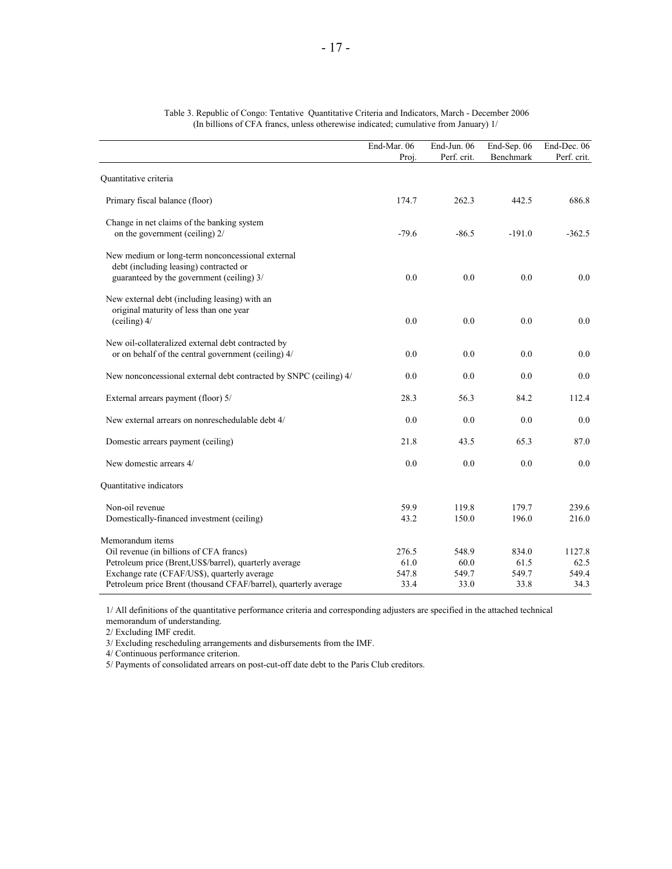|                                                                                                                                                                        | End-Mar. 06<br>Proj.   | End-Jun. 06<br>Perf. crit. | End-Sep. 06<br>Benchmark | End-Dec. 06<br>Perf. crit. |
|------------------------------------------------------------------------------------------------------------------------------------------------------------------------|------------------------|----------------------------|--------------------------|----------------------------|
|                                                                                                                                                                        |                        |                            |                          |                            |
| Quantitative criteria                                                                                                                                                  |                        |                            |                          |                            |
| Primary fiscal balance (floor)                                                                                                                                         | 174.7                  | 262.3                      | 442.5                    | 686.8                      |
| Change in net claims of the banking system<br>on the government (ceiling) 2/                                                                                           | $-79.6$                | $-86.5$                    | $-191.0$                 | $-362.5$                   |
| New medium or long-term nonconcessional external<br>debt (including leasing) contracted or<br>guaranteed by the government (ceiling) 3/                                | 0.0                    | 0.0                        | 0.0                      | 0.0                        |
| New external debt (including leasing) with an<br>original maturity of less than one year<br>$(celing)$ 4/                                                              | 0.0                    | 0.0                        | 0.0                      | 0.0                        |
| New oil-collateralized external debt contracted by<br>or on behalf of the central government (ceiling) 4/                                                              | 0.0                    | 0.0                        | 0.0                      | 0.0                        |
| New nonconcessional external debt contracted by SNPC (ceiling) 4/                                                                                                      | 0.0                    | 0.0                        | 0.0                      | 0.0                        |
| External arrears payment (floor) 5/                                                                                                                                    | 28.3                   | 56.3                       | 84.2                     | 112.4                      |
| New external arrears on nonreschedulable debt 4/                                                                                                                       | 0.0                    | 0.0                        | 0.0                      | 0.0                        |
| Domestic arrears payment (ceiling)                                                                                                                                     | 21.8                   | 43.5                       | 65.3                     | 87.0                       |
| New domestic arrears 4/                                                                                                                                                | 0.0                    | 0.0                        | 0.0                      | 0.0                        |
| Quantitative indicators                                                                                                                                                |                        |                            |                          |                            |
| Non-oil revenue<br>Domestically-financed investment (ceiling)                                                                                                          | 59.9<br>43.2           | 119.8<br>150.0             | 179.7<br>196.0           | 239.6<br>216.0             |
| Memorandum items<br>Oil revenue (in billions of CFA francs)<br>Petroleum price (Brent, US\$/barrel), quarterly average<br>Exchange rate (CFAF/US\$), quarterly average | 276.5<br>61.0<br>547.8 | 548.9<br>60.0<br>549.7     | 834.0<br>61.5<br>549.7   | 1127.8<br>62.5<br>549.4    |
| Petroleum price Brent (thousand CFAF/barrel), quarterly average                                                                                                        | 33.4                   | 33.0                       | 33.8                     | 34.3                       |

| Table 3. Republic of Congo: Tentative Quantitative Criteria and Indicators, March - December 2006 |
|---------------------------------------------------------------------------------------------------|
| (In billions of CFA francs, unless otherwise indicated; cumulative from January) 1/               |

1/ All definitions of the quantitative performance criteria and corresponding adjusters are specified in the attached technical memorandum of understanding.

2/ Excluding IMF credit.

3/ Excluding rescheduling arrangements and disbursements from the IMF.

4/ Continuous performance criterion.

5/ Payments of consolidated arrears on post-cut-off date debt to the Paris Club creditors.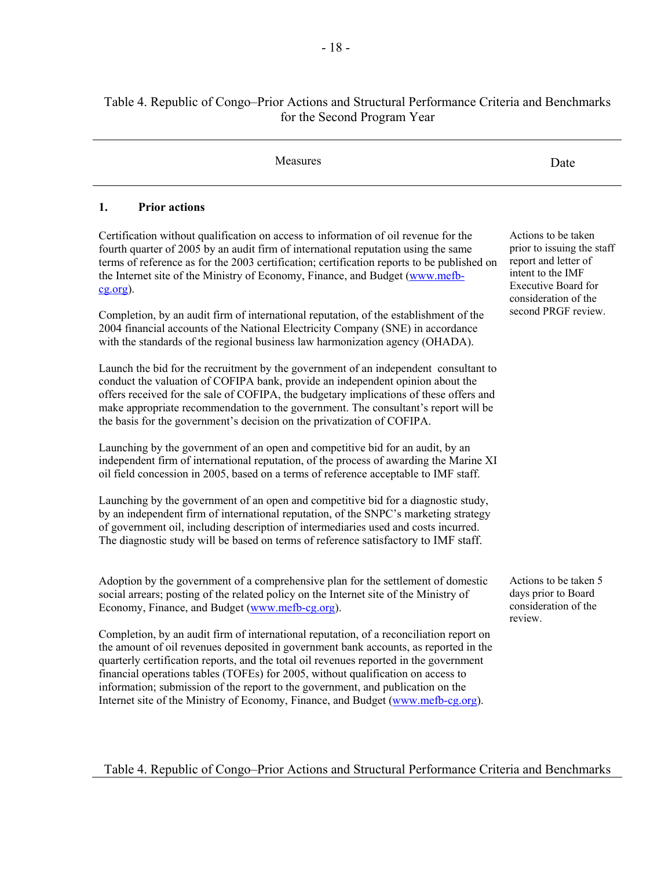## Table 4. Republic of Congo–Prior Actions and Structural Performance Criteria and Benchmarks for the Second Program Year

| Measures                                                                                                                                                                                                                                                                                                                                                                                                                                                                                                                             | Date                                                                                                                                          |
|--------------------------------------------------------------------------------------------------------------------------------------------------------------------------------------------------------------------------------------------------------------------------------------------------------------------------------------------------------------------------------------------------------------------------------------------------------------------------------------------------------------------------------------|-----------------------------------------------------------------------------------------------------------------------------------------------|
| <b>Prior actions</b><br>1.                                                                                                                                                                                                                                                                                                                                                                                                                                                                                                           |                                                                                                                                               |
| Certification without qualification on access to information of oil revenue for the<br>fourth quarter of 2005 by an audit firm of international reputation using the same<br>terms of reference as for the 2003 certification; certification reports to be published on<br>the Internet site of the Ministry of Economy, Finance, and Budget (www.mefb-<br>$cg.org$ ).                                                                                                                                                               | Actions to be taken<br>prior to issuing the staff<br>report and letter of<br>intent to the IMF<br>Executive Board for<br>consideration of the |
| Completion, by an audit firm of international reputation, of the establishment of the<br>2004 financial accounts of the National Electricity Company (SNE) in accordance<br>with the standards of the regional business law harmonization agency (OHADA).                                                                                                                                                                                                                                                                            | second PRGF review.                                                                                                                           |
| Launch the bid for the recruitment by the government of an independent consultant to<br>conduct the valuation of COFIPA bank, provide an independent opinion about the<br>offers received for the sale of COFIPA, the budgetary implications of these offers and<br>make appropriate recommendation to the government. The consultant's report will be<br>the basis for the government's decision on the privatization of COFIPA.                                                                                                    |                                                                                                                                               |
| Launching by the government of an open and competitive bid for an audit, by an<br>independent firm of international reputation, of the process of awarding the Marine XI<br>oil field concession in 2005, based on a terms of reference acceptable to IMF staff.                                                                                                                                                                                                                                                                     |                                                                                                                                               |
| Launching by the government of an open and competitive bid for a diagnostic study,<br>by an independent firm of international reputation, of the SNPC's marketing strategy<br>of government oil, including description of intermediaries used and costs incurred.<br>The diagnostic study will be based on terms of reference satisfactory to IMF staff.                                                                                                                                                                             |                                                                                                                                               |
| Adoption by the government of a comprehensive plan for the settlement of domestic<br>social arrears; posting of the related policy on the Internet site of the Ministry of<br>Economy, Finance, and Budget (www.mefb-cg.org).                                                                                                                                                                                                                                                                                                        | Actions to be taken 5<br>days prior to Board<br>consideration of the<br>review.                                                               |
| Completion, by an audit firm of international reputation, of a reconciliation report on<br>the amount of oil revenues deposited in government bank accounts, as reported in the<br>quarterly certification reports, and the total oil revenues reported in the government<br>financial operations tables (TOFEs) for 2005, without qualification on access to<br>information; submission of the report to the government, and publication on the<br>Internet site of the Ministry of Economy, Finance, and Budget (www.mefb-cg.org). |                                                                                                                                               |
| Table 4. Republic of Congo–Prior Actions and Structural Performance Criteria and Benchmarks                                                                                                                                                                                                                                                                                                                                                                                                                                          |                                                                                                                                               |
|                                                                                                                                                                                                                                                                                                                                                                                                                                                                                                                                      |                                                                                                                                               |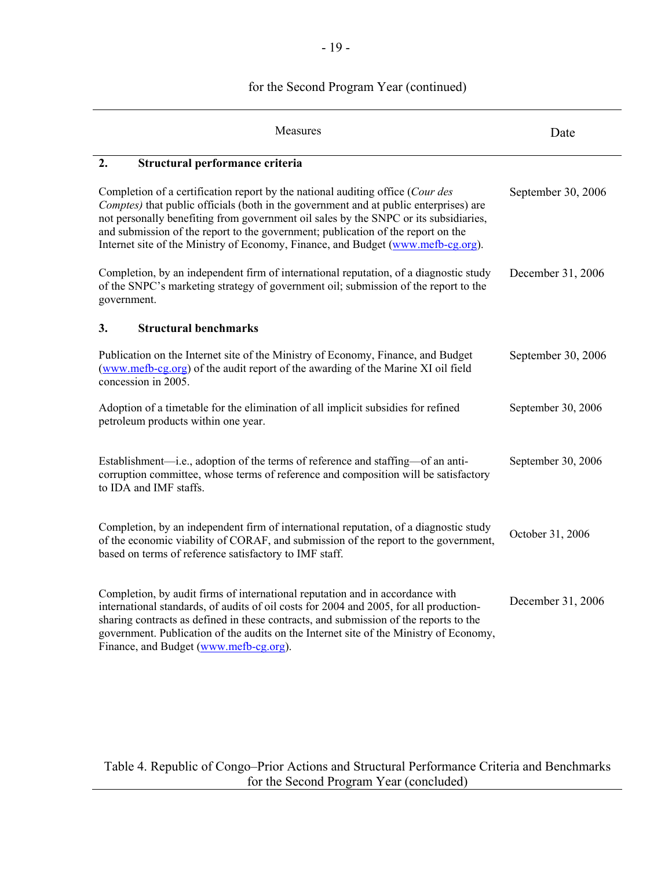# for the Second Program Year (continued)

| Measures                                                                                                                                                                                                                                                                                                                                                                                                                                | Date               |
|-----------------------------------------------------------------------------------------------------------------------------------------------------------------------------------------------------------------------------------------------------------------------------------------------------------------------------------------------------------------------------------------------------------------------------------------|--------------------|
| 2.<br>Structural performance criteria                                                                                                                                                                                                                                                                                                                                                                                                   |                    |
| Completion of a certification report by the national auditing office (Cour des<br>Comptes) that public officials (both in the government and at public enterprises) are<br>not personally benefiting from government oil sales by the SNPC or its subsidiaries,<br>and submission of the report to the government; publication of the report on the<br>Internet site of the Ministry of Economy, Finance, and Budget (www.mefb-cg.org). | September 30, 2006 |
| Completion, by an independent firm of international reputation, of a diagnostic study<br>of the SNPC's marketing strategy of government oil; submission of the report to the<br>government.                                                                                                                                                                                                                                             | December 31, 2006  |
| <b>Structural benchmarks</b><br>3.                                                                                                                                                                                                                                                                                                                                                                                                      |                    |
| Publication on the Internet site of the Ministry of Economy, Finance, and Budget<br>(www.mefb-cg.org) of the audit report of the awarding of the Marine XI oil field<br>concession in 2005.                                                                                                                                                                                                                                             | September 30, 2006 |
| Adoption of a timetable for the elimination of all implicit subsidies for refined<br>petroleum products within one year.                                                                                                                                                                                                                                                                                                                | September 30, 2006 |
| Establishment—i.e., adoption of the terms of reference and staffing—of an anti-<br>corruption committee, whose terms of reference and composition will be satisfactory<br>to IDA and IMF staffs.                                                                                                                                                                                                                                        | September 30, 2006 |
| Completion, by an independent firm of international reputation, of a diagnostic study<br>of the economic viability of CORAF, and submission of the report to the government,<br>based on terms of reference satisfactory to IMF staff.                                                                                                                                                                                                  | October 31, 2006   |
| Completion, by audit firms of international reputation and in accordance with<br>international standards, of audits of oil costs for 2004 and 2005, for all production-<br>sharing contracts as defined in these contracts, and submission of the reports to the<br>government. Publication of the audits on the Internet site of the Ministry of Economy,<br>Finance, and Budget (www.mefb-cg.org).                                    | December 31, 2006  |

Table 4. Republic of Congo–Prior Actions and Structural Performance Criteria and Benchmarks for the Second Program Year (concluded)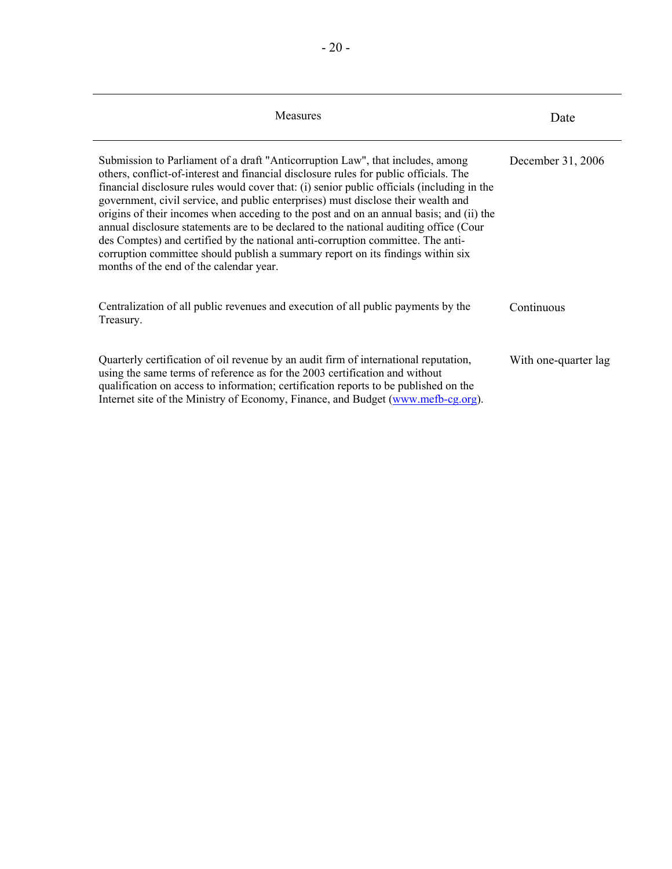| Measures                                                                                                                                                                                                                                                                                                                                                                                                                                                                                                                                                                                                                                                                                                                                                        | Date                 |
|-----------------------------------------------------------------------------------------------------------------------------------------------------------------------------------------------------------------------------------------------------------------------------------------------------------------------------------------------------------------------------------------------------------------------------------------------------------------------------------------------------------------------------------------------------------------------------------------------------------------------------------------------------------------------------------------------------------------------------------------------------------------|----------------------|
| Submission to Parliament of a draft "Anticorruption Law", that includes, among<br>others, conflict-of-interest and financial disclosure rules for public officials. The<br>financial disclosure rules would cover that: (i) senior public officials (including in the<br>government, civil service, and public enterprises) must disclose their wealth and<br>origins of their incomes when acceding to the post and on an annual basis; and (ii) the<br>annual disclosure statements are to be declared to the national auditing office (Cour<br>des Comptes) and certified by the national anti-corruption committee. The anti-<br>corruption committee should publish a summary report on its findings within six<br>months of the end of the calendar year. | December 31, 2006    |
| Centralization of all public revenues and execution of all public payments by the<br>Treasury.                                                                                                                                                                                                                                                                                                                                                                                                                                                                                                                                                                                                                                                                  | Continuous           |
| Quarterly certification of oil revenue by an audit firm of international reputation,<br>using the same terms of reference as for the 2003 certification and without<br>qualification on access to information; certification reports to be published on the<br>Internet site of the Ministry of Economy, Finance, and Budget (www.mefb-cg.org).                                                                                                                                                                                                                                                                                                                                                                                                                 | With one-quarter lag |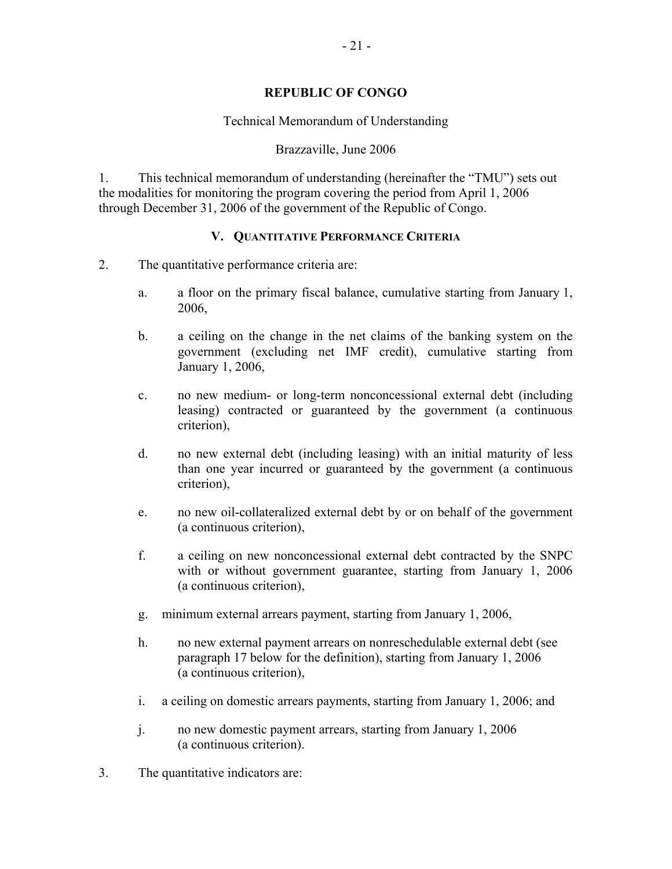## **REPUBLIC OF CONGO**

## Technical Memorandum of Understanding

## Brazzaville, June 2006

1. This technical memorandum of understanding (hereinafter the "TMU") sets out the modalities for monitoring the program covering the period from April 1, 2006 through December 31, 2006 of the government of the Republic of Congo.

## **V. QUANTITATIVE PERFORMANCE CRITERIA**

- 2. The quantitative performance criteria are:
	- a. a floor on the primary fiscal balance, cumulative starting from January 1, 2006,
	- b. a ceiling on the change in the net claims of the banking system on the government (excluding net IMF credit), cumulative starting from January 1, 2006,
	- c. no new medium- or long-term nonconcessional external debt (including leasing) contracted or guaranteed by the government (a continuous criterion),
	- d. no new external debt (including leasing) with an initial maturity of less than one year incurred or guaranteed by the government (a continuous criterion),
	- e. no new oil-collateralized external debt by or on behalf of the government (a continuous criterion),
	- f. a ceiling on new nonconcessional external debt contracted by the SNPC with or without government guarantee, starting from January 1, 2006 (a continuous criterion),
	- g. minimum external arrears payment, starting from January 1, 2006,
	- h. no new external payment arrears on nonreschedulable external debt (see paragraph 17 below for the definition), starting from January 1, 2006 (a continuous criterion),
	- i. a ceiling on domestic arrears payments, starting from January 1, 2006; and
	- j. no new domestic payment arrears, starting from January 1, 2006 (a continuous criterion).
- 3. The quantitative indicators are: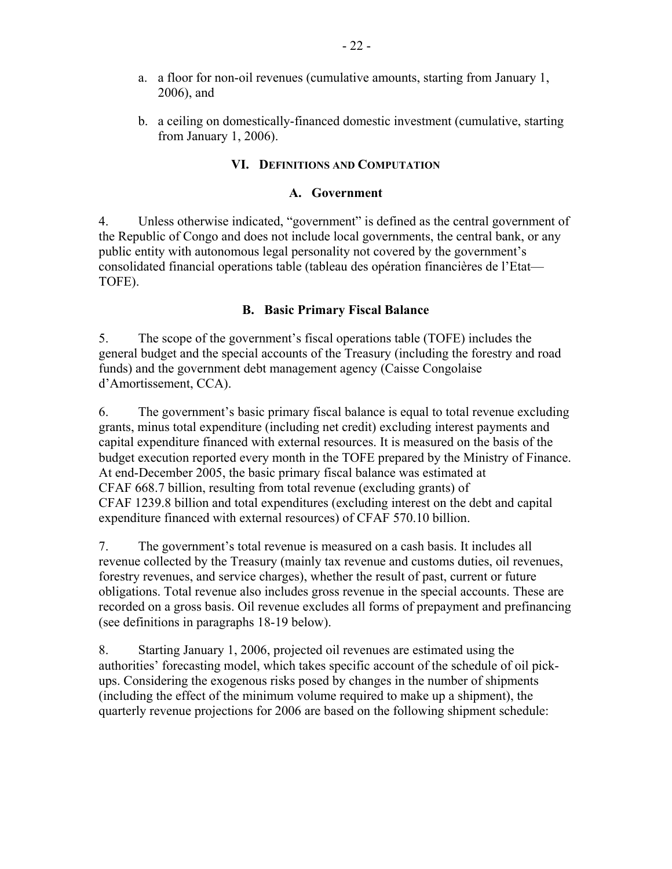- a. a floor for non-oil revenues (cumulative amounts, starting from January 1, 2006), and
- b. a ceiling on domestically-financed domestic investment (cumulative, starting from January 1, 2006).

# **VI. DEFINITIONS AND COMPUTATION**

# **A. Government**

4. Unless otherwise indicated, "government" is defined as the central government of the Republic of Congo and does not include local governments, the central bank, or any public entity with autonomous legal personality not covered by the government's consolidated financial operations table (tableau des opération financières de l'Etat— TOFE).

# **B. Basic Primary Fiscal Balance**

5. The scope of the government's fiscal operations table (TOFE) includes the general budget and the special accounts of the Treasury (including the forestry and road funds) and the government debt management agency (Caisse Congolaise d'Amortissement, CCA).

6. The government's basic primary fiscal balance is equal to total revenue excluding grants, minus total expenditure (including net credit) excluding interest payments and capital expenditure financed with external resources. It is measured on the basis of the budget execution reported every month in the TOFE prepared by the Ministry of Finance. At end-December 2005, the basic primary fiscal balance was estimated at CFAF 668.7 billion, resulting from total revenue (excluding grants) of CFAF 1239.8 billion and total expenditures (excluding interest on the debt and capital expenditure financed with external resources) of CFAF 570.10 billion.

7. The government's total revenue is measured on a cash basis. It includes all revenue collected by the Treasury (mainly tax revenue and customs duties, oil revenues, forestry revenues, and service charges), whether the result of past, current or future obligations. Total revenue also includes gross revenue in the special accounts. These are recorded on a gross basis. Oil revenue excludes all forms of prepayment and prefinancing (see definitions in paragraphs 18-19 below).

8. Starting January 1, 2006, projected oil revenues are estimated using the authorities' forecasting model, which takes specific account of the schedule of oil pickups. Considering the exogenous risks posed by changes in the number of shipments (including the effect of the minimum volume required to make up a shipment), the quarterly revenue projections for 2006 are based on the following shipment schedule: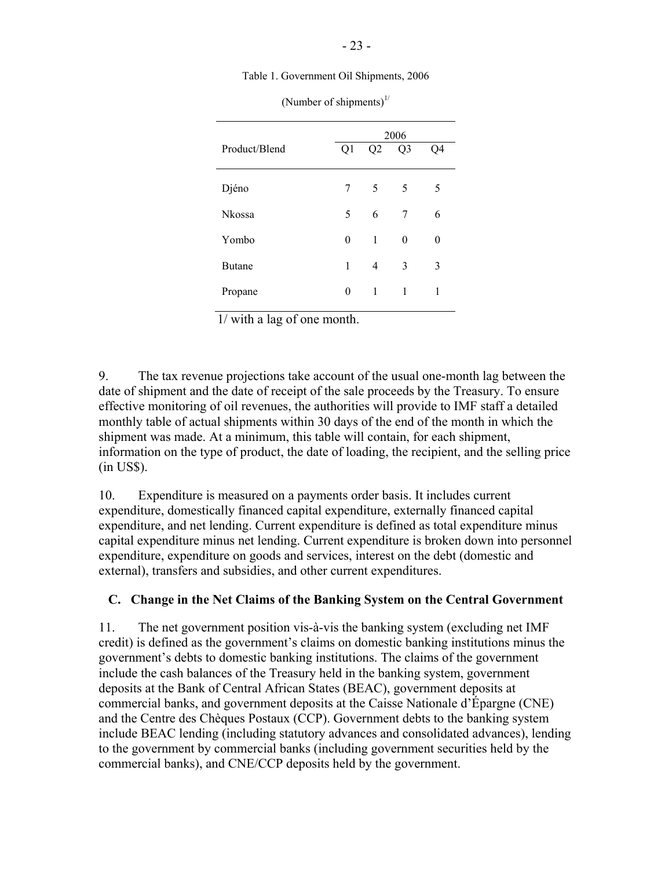Table 1. Government Oil Shipments, 2006

|               | 2006 |                |                |    |  |  |  |
|---------------|------|----------------|----------------|----|--|--|--|
| Product/Blend | Q1   | Q <sub>2</sub> | Q <sub>3</sub> | Q4 |  |  |  |
| Djéno         | 7    | 5              | 5              | 5  |  |  |  |
| <b>Nkossa</b> | 5    | 6              | 7              | 6  |  |  |  |
| Yombo         | 0    | 1              | $\theta$       | 0  |  |  |  |
| <b>Butane</b> | 1    | 4              | 3              | 3  |  |  |  |
| Propane       | 0    | 1              | 1              | 1  |  |  |  |

(Number of shipments) $1/$ 

1/ with a lag of one month.

9. The tax revenue projections take account of the usual one-month lag between the date of shipment and the date of receipt of the sale proceeds by the Treasury. To ensure effective monitoring of oil revenues, the authorities will provide to IMF staff a detailed monthly table of actual shipments within 30 days of the end of the month in which the shipment was made. At a minimum, this table will contain, for each shipment, information on the type of product, the date of loading, the recipient, and the selling price (in US\$).

10. Expenditure is measured on a payments order basis. It includes current expenditure, domestically financed capital expenditure, externally financed capital expenditure, and net lending. Current expenditure is defined as total expenditure minus capital expenditure minus net lending. Current expenditure is broken down into personnel expenditure, expenditure on goods and services, interest on the debt (domestic and external), transfers and subsidies, and other current expenditures.

## **C. Change in the Net Claims of the Banking System on the Central Government**

11. The net government position vis-à-vis the banking system (excluding net IMF credit) is defined as the government's claims on domestic banking institutions minus the government's debts to domestic banking institutions. The claims of the government include the cash balances of the Treasury held in the banking system, government deposits at the Bank of Central African States (BEAC), government deposits at commercial banks, and government deposits at the Caisse Nationale d'Épargne (CNE) and the Centre des Chèques Postaux (CCP). Government debts to the banking system include BEAC lending (including statutory advances and consolidated advances), lending to the government by commercial banks (including government securities held by the commercial banks), and CNE/CCP deposits held by the government.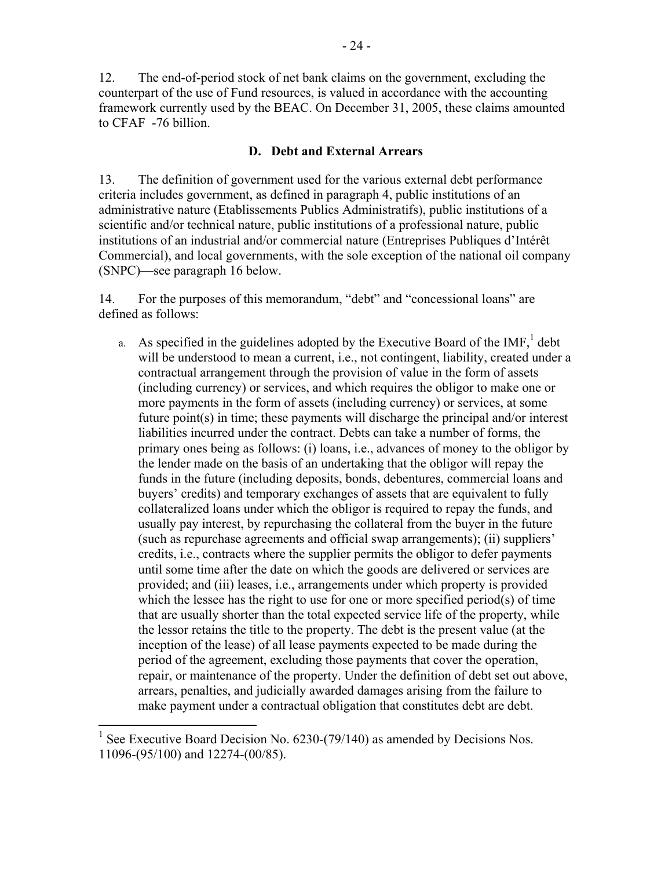12. The end-of-period stock of net bank claims on the government, excluding the counterpart of the use of Fund resources, is valued in accordance with the accounting framework currently used by the BEAC. On December 31, 2005, these claims amounted to CFAF -76 billion.

## **D. Debt and External Arrears**

13. The definition of government used for the various external debt performance criteria includes government, as defined in paragraph 4, public institutions of an administrative nature (Etablissements Publics Administratifs), public institutions of a scientific and/or technical nature, public institutions of a professional nature, public institutions of an industrial and/or commercial nature (Entreprises Publiques d'Intérêt Commercial), and local governments, with the sole exception of the national oil company (SNPC)—see paragraph 16 below.

14. For the purposes of this memorandum, "debt" and "concessional loans" are defined as follows:

a. As specified in the guidelines adopted by the Executive Board of the  $IMF<sub>1</sub><sup>1</sup>$  debt will be understood to mean a current, i.e., not contingent, liability, created under a contractual arrangement through the provision of value in the form of assets (including currency) or services, and which requires the obligor to make one or more payments in the form of assets (including currency) or services, at some future point(s) in time; these payments will discharge the principal and/or interest liabilities incurred under the contract. Debts can take a number of forms, the primary ones being as follows: (i) loans, i.e., advances of money to the obligor by the lender made on the basis of an undertaking that the obligor will repay the funds in the future (including deposits, bonds, debentures, commercial loans and buyers' credits) and temporary exchanges of assets that are equivalent to fully collateralized loans under which the obligor is required to repay the funds, and usually pay interest, by repurchasing the collateral from the buyer in the future (such as repurchase agreements and official swap arrangements); (ii) suppliers' credits, i.e., contracts where the supplier permits the obligor to defer payments until some time after the date on which the goods are delivered or services are provided; and (iii) leases, i.e., arrangements under which property is provided which the lessee has the right to use for one or more specified period(s) of time that are usually shorter than the total expected service life of the property, while the lessor retains the title to the property. The debt is the present value (at the inception of the lease) of all lease payments expected to be made during the period of the agreement, excluding those payments that cover the operation, repair, or maintenance of the property. Under the definition of debt set out above, arrears, penalties, and judicially awarded damages arising from the failure to make payment under a contractual obligation that constitutes debt are debt.

 $\overline{a}$ 

<sup>1</sup> See Executive Board Decision No. 6230-(79/140) as amended by Decisions Nos. 11096-(95/100) and 12274-(00/85).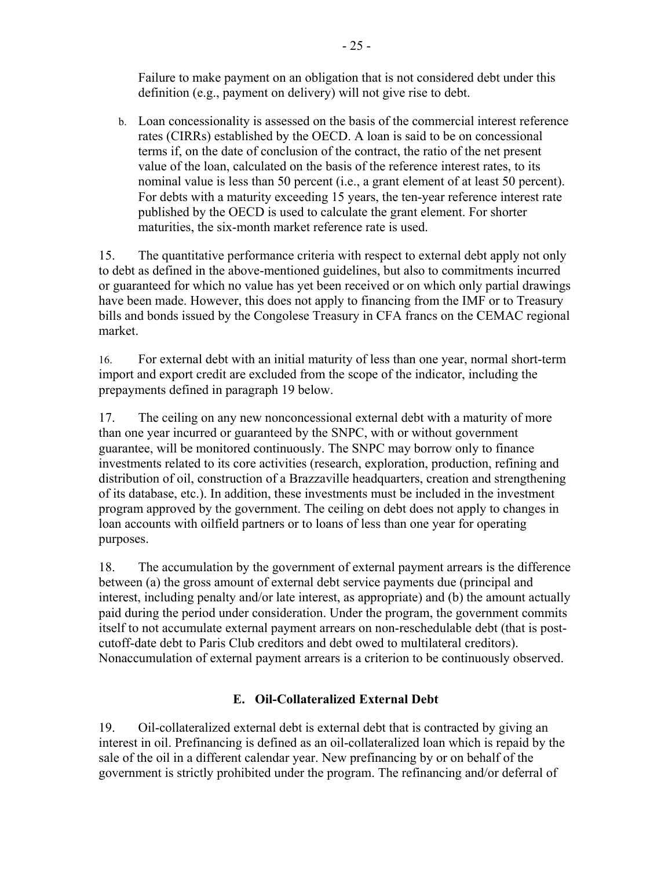Failure to make payment on an obligation that is not considered debt under this definition (e.g., payment on delivery) will not give rise to debt.

b. Loan concessionality is assessed on the basis of the commercial interest reference rates (CIRRs) established by the OECD. A loan is said to be on concessional terms if, on the date of conclusion of the contract, the ratio of the net present value of the loan, calculated on the basis of the reference interest rates, to its nominal value is less than 50 percent (i.e., a grant element of at least 50 percent). For debts with a maturity exceeding 15 years, the ten-year reference interest rate published by the OECD is used to calculate the grant element. For shorter maturities, the six-month market reference rate is used.

15. The quantitative performance criteria with respect to external debt apply not only to debt as defined in the above-mentioned guidelines, but also to commitments incurred or guaranteed for which no value has yet been received or on which only partial drawings have been made. However, this does not apply to financing from the IMF or to Treasury bills and bonds issued by the Congolese Treasury in CFA francs on the CEMAC regional market.

16. For external debt with an initial maturity of less than one year, normal short-term import and export credit are excluded from the scope of the indicator, including the prepayments defined in paragraph 19 below.

17. The ceiling on any new nonconcessional external debt with a maturity of more than one year incurred or guaranteed by the SNPC, with or without government guarantee, will be monitored continuously. The SNPC may borrow only to finance investments related to its core activities (research, exploration, production, refining and distribution of oil, construction of a Brazzaville headquarters, creation and strengthening of its database, etc.). In addition, these investments must be included in the investment program approved by the government. The ceiling on debt does not apply to changes in loan accounts with oilfield partners or to loans of less than one year for operating purposes.

18. The accumulation by the government of external payment arrears is the difference between (a) the gross amount of external debt service payments due (principal and interest, including penalty and/or late interest, as appropriate) and (b) the amount actually paid during the period under consideration. Under the program, the government commits itself to not accumulate external payment arrears on non-reschedulable debt (that is postcutoff-date debt to Paris Club creditors and debt owed to multilateral creditors). Nonaccumulation of external payment arrears is a criterion to be continuously observed.

# **E. Oil-Collateralized External Debt**

19. Oil-collateralized external debt is external debt that is contracted by giving an interest in oil. Prefinancing is defined as an oil-collateralized loan which is repaid by the sale of the oil in a different calendar year. New prefinancing by or on behalf of the government is strictly prohibited under the program. The refinancing and/or deferral of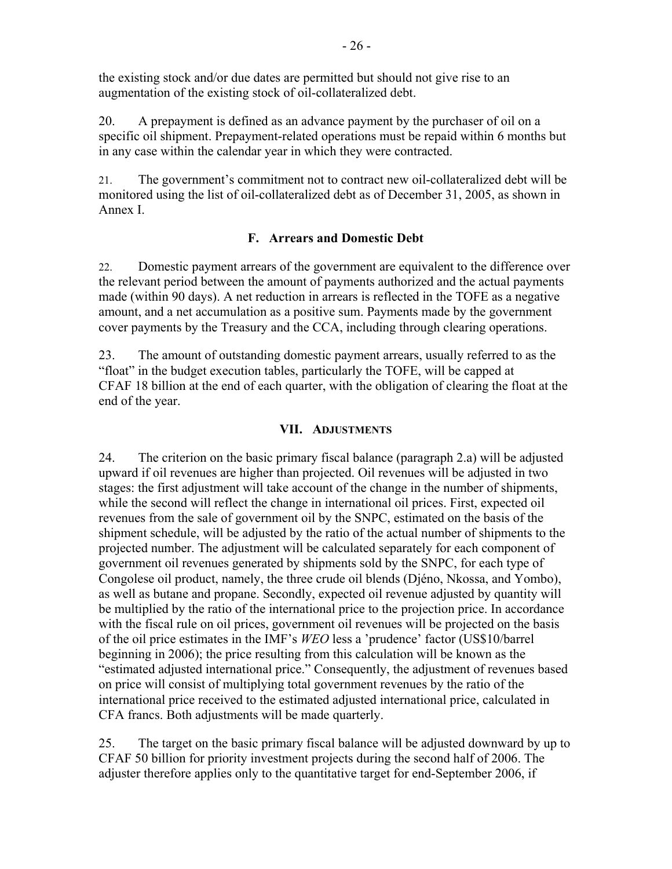the existing stock and/or due dates are permitted but should not give rise to an augmentation of the existing stock of oil-collateralized debt.

20. A prepayment is defined as an advance payment by the purchaser of oil on a specific oil shipment. Prepayment-related operations must be repaid within 6 months but in any case within the calendar year in which they were contracted.

21. The government's commitment not to contract new oil-collateralized debt will be monitored using the list of oil-collateralized debt as of December 31, 2005, as shown in Annex I.

# **F. Arrears and Domestic Debt**

22. Domestic payment arrears of the government are equivalent to the difference over the relevant period between the amount of payments authorized and the actual payments made (within 90 days). A net reduction in arrears is reflected in the TOFE as a negative amount, and a net accumulation as a positive sum. Payments made by the government cover payments by the Treasury and the CCA, including through clearing operations.

23. The amount of outstanding domestic payment arrears, usually referred to as the "float" in the budget execution tables, particularly the TOFE, will be capped at CFAF 18 billion at the end of each quarter, with the obligation of clearing the float at the end of the year.

## **VII. ADJUSTMENTS**

24. The criterion on the basic primary fiscal balance (paragraph 2.a) will be adjusted upward if oil revenues are higher than projected. Oil revenues will be adjusted in two stages: the first adjustment will take account of the change in the number of shipments, while the second will reflect the change in international oil prices. First, expected oil revenues from the sale of government oil by the SNPC, estimated on the basis of the shipment schedule, will be adjusted by the ratio of the actual number of shipments to the projected number. The adjustment will be calculated separately for each component of government oil revenues generated by shipments sold by the SNPC, for each type of Congolese oil product, namely, the three crude oil blends (Djéno, Nkossa, and Yombo), as well as butane and propane. Secondly, expected oil revenue adjusted by quantity will be multiplied by the ratio of the international price to the projection price. In accordance with the fiscal rule on oil prices, government oil revenues will be projected on the basis of the oil price estimates in the IMF's *WEO* less a 'prudence' factor (US\$10/barrel beginning in 2006); the price resulting from this calculation will be known as the "estimated adjusted international price." Consequently, the adjustment of revenues based on price will consist of multiplying total government revenues by the ratio of the international price received to the estimated adjusted international price, calculated in CFA francs. Both adjustments will be made quarterly.

25. The target on the basic primary fiscal balance will be adjusted downward by up to CFAF 50 billion for priority investment projects during the second half of 2006. The adjuster therefore applies only to the quantitative target for end-September 2006, if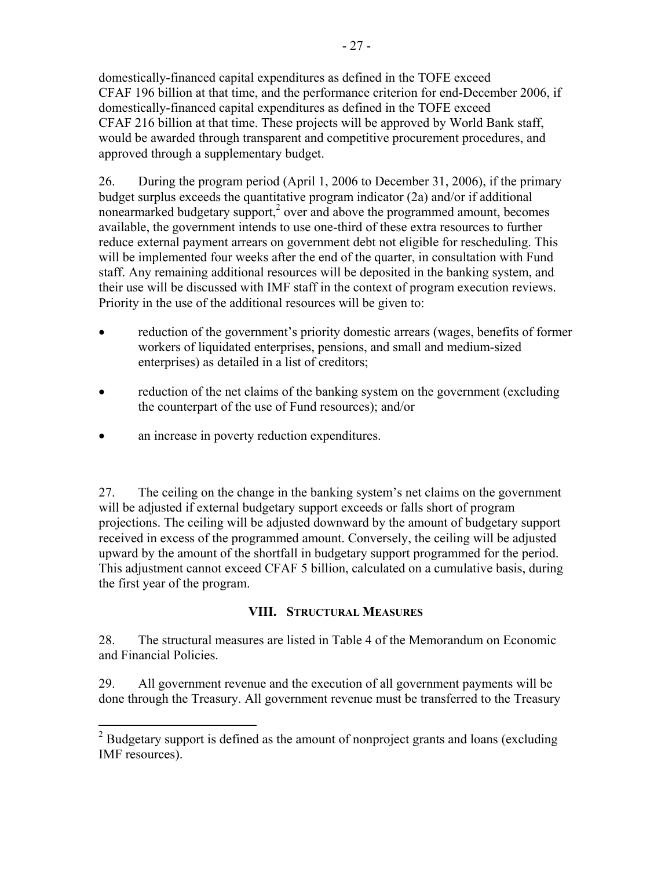domestically-financed capital expenditures as defined in the TOFE exceed CFAF 196 billion at that time, and the performance criterion for end-December 2006, if domestically-financed capital expenditures as defined in the TOFE exceed CFAF 216 billion at that time. These projects will be approved by World Bank staff, would be awarded through transparent and competitive procurement procedures, and approved through a supplementary budget.

26. During the program period (April 1, 2006 to December 31, 2006), if the primary budget surplus exceeds the quantitative program indicator (2a) and/or if additional nonearmarked budgetary support,<sup>2</sup> over and above the programmed amount, becomes available, the government intends to use one-third of these extra resources to further reduce external payment arrears on government debt not eligible for rescheduling. This will be implemented four weeks after the end of the quarter, in consultation with Fund staff. Any remaining additional resources will be deposited in the banking system, and their use will be discussed with IMF staff in the context of program execution reviews. Priority in the use of the additional resources will be given to:

- reduction of the government's priority domestic arrears (wages, benefits of former workers of liquidated enterprises, pensions, and small and medium-sized enterprises) as detailed in a list of creditors;
- reduction of the net claims of the banking system on the government (excluding the counterpart of the use of Fund resources); and/or
- an increase in poverty reduction expenditures.

27. The ceiling on the change in the banking system's net claims on the government will be adjusted if external budgetary support exceeds or falls short of program projections. The ceiling will be adjusted downward by the amount of budgetary support received in excess of the programmed amount. Conversely, the ceiling will be adjusted upward by the amount of the shortfall in budgetary support programmed for the period. This adjustment cannot exceed CFAF 5 billion, calculated on a cumulative basis, during the first year of the program.

# **VIII. STRUCTURAL MEASURES**

28. The structural measures are listed in Table 4 of the Memorandum on Economic and Financial Policies.

29. All government revenue and the execution of all government payments will be done through the Treasury. All government revenue must be transferred to the Treasury

<sup>&</sup>lt;sup>2</sup> Budgetary support is defined as the amount of nonproject grants and loans (excluding IMF resources).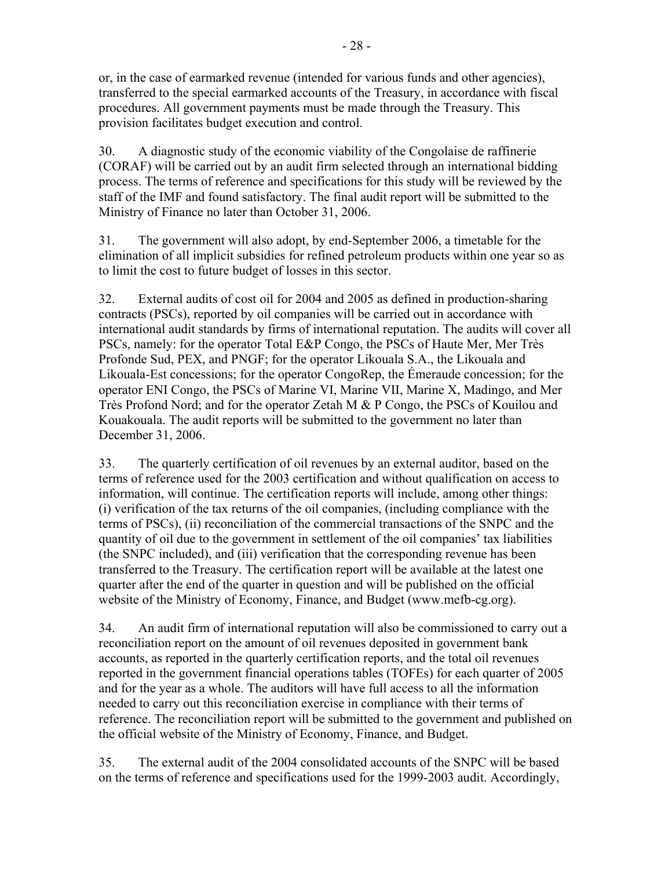or, in the case of earmarked revenue (intended for various funds and other agencies), transferred to the special earmarked accounts of the Treasury, in accordance with fiscal procedures. All government payments must be made through the Treasury. This provision facilitates budget execution and control.

30. A diagnostic study of the economic viability of the Congolaise de raffinerie (CORAF) will be carried out by an audit firm selected through an international bidding process. The terms of reference and specifications for this study will be reviewed by the staff of the IMF and found satisfactory. The final audit report will be submitted to the Ministry of Finance no later than October 31, 2006.

31. The government will also adopt, by end-September 2006, a timetable for the elimination of all implicit subsidies for refined petroleum products within one year so as to limit the cost to future budget of losses in this sector.

32. External audits of cost oil for 2004 and 2005 as defined in production-sharing contracts (PSCs), reported by oil companies will be carried out in accordance with international audit standards by firms of international reputation. The audits will cover all PSCs, namely: for the operator Total E&P Congo, the PSCs of Haute Mer, Mer Très Profonde Sud, PEX, and PNGF; for the operator Likouala S.A., the Likouala and Likouala-Est concessions; for the operator CongoRep, the Émeraude concession; for the operator ENI Congo, the PSCs of Marine VI, Marine VII, Marine X, Madingo, and Mer Très Profond Nord; and for the operator Zetah M & P Congo, the PSCs of Kouilou and Kouakouala. The audit reports will be submitted to the government no later than December 31, 2006.

33. The quarterly certification of oil revenues by an external auditor, based on the terms of reference used for the 2003 certification and without qualification on access to information, will continue. The certification reports will include, among other things: (i) verification of the tax returns of the oil companies, (including compliance with the terms of PSCs), (ii) reconciliation of the commercial transactions of the SNPC and the quantity of oil due to the government in settlement of the oil companies' tax liabilities (the SNPC included), and (iii) verification that the corresponding revenue has been transferred to the Treasury. The certification report will be available at the latest one quarter after the end of the quarter in question and will be published on the official website of the Ministry of Economy, Finance, and Budget (www.mefb-cg.org).

34. An audit firm of international reputation will also be commissioned to carry out a reconciliation report on the amount of oil revenues deposited in government bank accounts, as reported in the quarterly certification reports, and the total oil revenues reported in the government financial operations tables (TOFEs) for each quarter of 2005 and for the year as a whole. The auditors will have full access to all the information needed to carry out this reconciliation exercise in compliance with their terms of reference. The reconciliation report will be submitted to the government and published on the official website of the Ministry of Economy, Finance, and Budget.

35. The external audit of the 2004 consolidated accounts of the SNPC will be based on the terms of reference and specifications used for the 1999-2003 audit. Accordingly,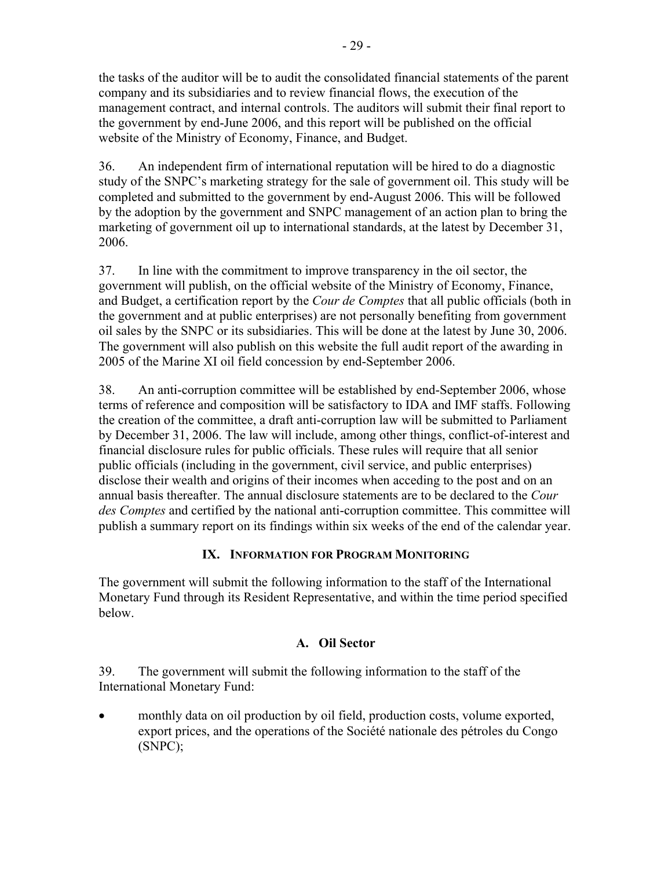the tasks of the auditor will be to audit the consolidated financial statements of the parent company and its subsidiaries and to review financial flows, the execution of the management contract, and internal controls. The auditors will submit their final report to the government by end-June 2006, and this report will be published on the official website of the Ministry of Economy, Finance, and Budget.

36. An independent firm of international reputation will be hired to do a diagnostic study of the SNPC's marketing strategy for the sale of government oil. This study will be completed and submitted to the government by end-August 2006. This will be followed by the adoption by the government and SNPC management of an action plan to bring the marketing of government oil up to international standards, at the latest by December 31, 2006.

37. In line with the commitment to improve transparency in the oil sector, the government will publish, on the official website of the Ministry of Economy, Finance, and Budget, a certification report by the *Cour de Comptes* that all public officials (both in the government and at public enterprises) are not personally benefiting from government oil sales by the SNPC or its subsidiaries. This will be done at the latest by June 30, 2006. The government will also publish on this website the full audit report of the awarding in 2005 of the Marine XI oil field concession by end-September 2006.

38. An anti-corruption committee will be established by end-September 2006, whose terms of reference and composition will be satisfactory to IDA and IMF staffs. Following the creation of the committee, a draft anti-corruption law will be submitted to Parliament by December 31, 2006. The law will include, among other things, conflict-of-interest and financial disclosure rules for public officials. These rules will require that all senior public officials (including in the government, civil service, and public enterprises) disclose their wealth and origins of their incomes when acceding to the post and on an annual basis thereafter. The annual disclosure statements are to be declared to the *Cour des Comptes* and certified by the national anti-corruption committee. This committee will publish a summary report on its findings within six weeks of the end of the calendar year.

# **IX. INFORMATION FOR PROGRAM MONITORING**

The government will submit the following information to the staff of the International Monetary Fund through its Resident Representative, and within the time period specified below.

# **A. Oil Sector**

39. The government will submit the following information to the staff of the International Monetary Fund:

• monthly data on oil production by oil field, production costs, volume exported, export prices, and the operations of the Société nationale des pétroles du Congo (SNPC);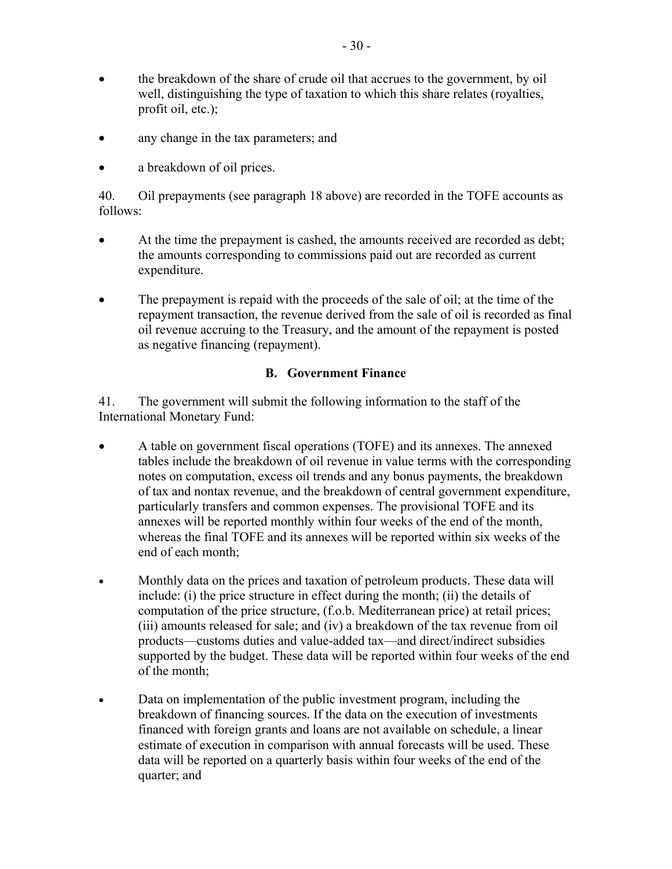- the breakdown of the share of crude oil that accrues to the government, by oil well, distinguishing the type of taxation to which this share relates (royalties, profit oil, etc.);
- any change in the tax parameters; and
- a breakdown of oil prices.

40. Oil prepayments (see paragraph 18 above) are recorded in the TOFE accounts as follows:

- At the time the prepayment is cashed, the amounts received are recorded as debt; the amounts corresponding to commissions paid out are recorded as current expenditure.
- The prepayment is repaid with the proceeds of the sale of oil; at the time of the repayment transaction, the revenue derived from the sale of oil is recorded as final oil revenue accruing to the Treasury, and the amount of the repayment is posted as negative financing (repayment).

## **B. Government Finance**

41. The government will submit the following information to the staff of the International Monetary Fund:

- A table on government fiscal operations (TOFE) and its annexes. The annexed tables include the breakdown of oil revenue in value terms with the corresponding notes on computation, excess oil trends and any bonus payments, the breakdown of tax and nontax revenue, and the breakdown of central government expenditure, particularly transfers and common expenses. The provisional TOFE and its annexes will be reported monthly within four weeks of the end of the month, whereas the final TOFE and its annexes will be reported within six weeks of the end of each month;
- Monthly data on the prices and taxation of petroleum products. These data will include: (i) the price structure in effect during the month; (ii) the details of computation of the price structure, (f.o.b. Mediterranean price) at retail prices; (iii) amounts released for sale; and (iv) a breakdown of the tax revenue from oil products—customs duties and value-added tax—and direct/indirect subsidies supported by the budget. These data will be reported within four weeks of the end of the month;
- Data on implementation of the public investment program, including the breakdown of financing sources. If the data on the execution of investments financed with foreign grants and loans are not available on schedule, a linear estimate of execution in comparison with annual forecasts will be used. These data will be reported on a quarterly basis within four weeks of the end of the quarter; and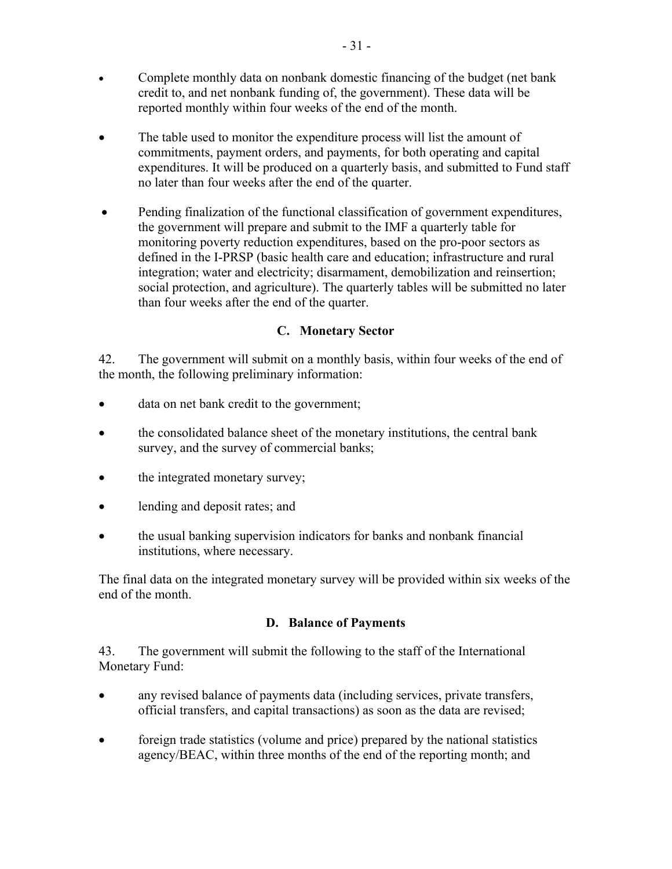- Complete monthly data on nonbank domestic financing of the budget (net bank credit to, and net nonbank funding of, the government). These data will be reported monthly within four weeks of the end of the month.
- The table used to monitor the expenditure process will list the amount of commitments, payment orders, and payments, for both operating and capital expenditures. It will be produced on a quarterly basis, and submitted to Fund staff no later than four weeks after the end of the quarter.
- Pending finalization of the functional classification of government expenditures, the government will prepare and submit to the IMF a quarterly table for monitoring poverty reduction expenditures, based on the pro-poor sectors as defined in the I-PRSP (basic health care and education; infrastructure and rural integration; water and electricity; disarmament, demobilization and reinsertion; social protection, and agriculture). The quarterly tables will be submitted no later than four weeks after the end of the quarter.

# **C. Monetary Sector**

42. The government will submit on a monthly basis, within four weeks of the end of the month, the following preliminary information:

- data on net bank credit to the government;
- the consolidated balance sheet of the monetary institutions, the central bank survey, and the survey of commercial banks;
- the integrated monetary survey;
- lending and deposit rates; and
- the usual banking supervision indicators for banks and nonbank financial institutions, where necessary.

The final data on the integrated monetary survey will be provided within six weeks of the end of the month.

# **D. Balance of Payments**

43. The government will submit the following to the staff of the International Monetary Fund:

- any revised balance of payments data (including services, private transfers, official transfers, and capital transactions) as soon as the data are revised;
- foreign trade statistics (volume and price) prepared by the national statistics agency/BEAC, within three months of the end of the reporting month; and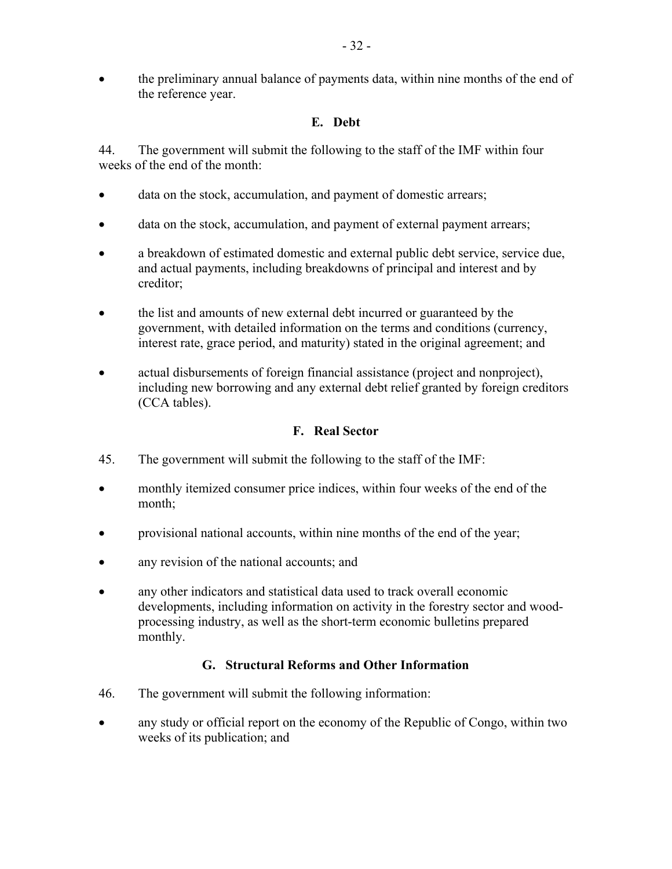# **E. Debt**

44. The government will submit the following to the staff of the IMF within four weeks of the end of the month:

- data on the stock, accumulation, and payment of domestic arrears;
- data on the stock, accumulation, and payment of external payment arrears;
- a breakdown of estimated domestic and external public debt service, service due, and actual payments, including breakdowns of principal and interest and by creditor;
- the list and amounts of new external debt incurred or guaranteed by the government, with detailed information on the terms and conditions (currency, interest rate, grace period, and maturity) stated in the original agreement; and
- actual disbursements of foreign financial assistance (project and nonproject), including new borrowing and any external debt relief granted by foreign creditors (CCA tables).

# **F. Real Sector**

- 45. The government will submit the following to the staff of the IMF:
- monthly itemized consumer price indices, within four weeks of the end of the month;
- provisional national accounts, within nine months of the end of the year;
- any revision of the national accounts; and
- any other indicators and statistical data used to track overall economic developments, including information on activity in the forestry sector and woodprocessing industry, as well as the short-term economic bulletins prepared monthly.

# **G. Structural Reforms and Other Information**

- 46. The government will submit the following information:
- any study or official report on the economy of the Republic of Congo, within two weeks of its publication; and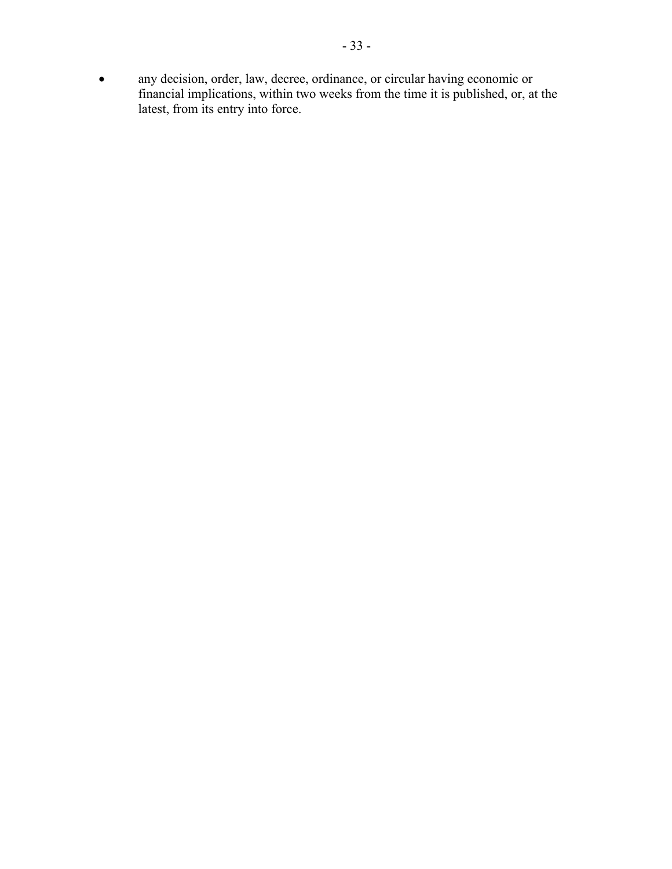• any decision, order, law, decree, ordinance, or circular having economic or financial implications, within two weeks from the time it is published, or, at the latest, from its entry into force.